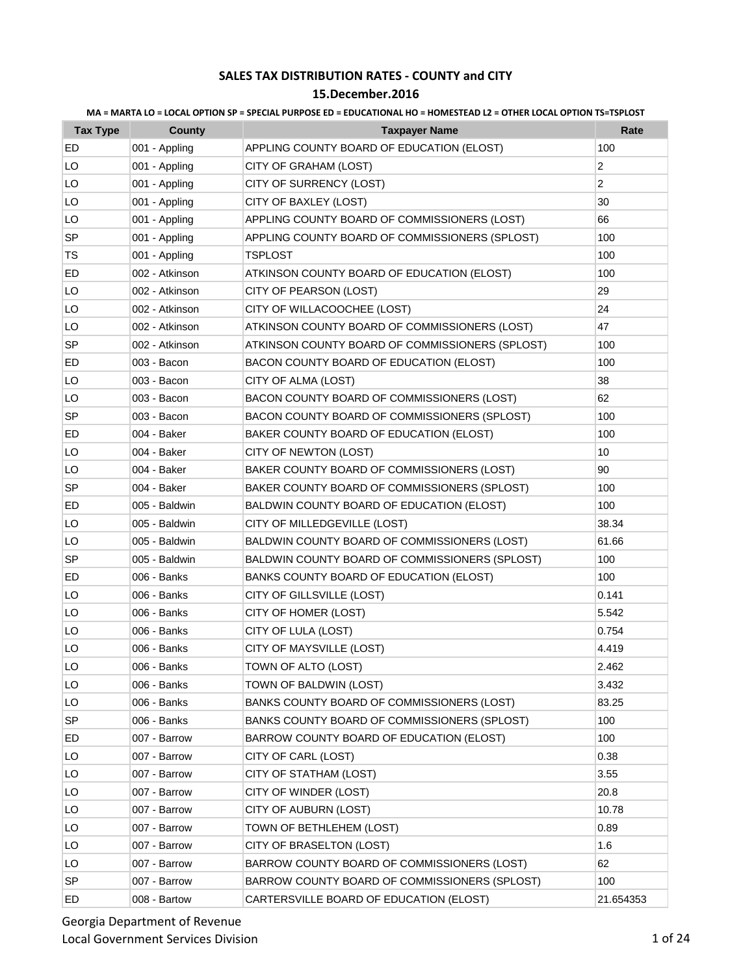| MA = MARTA LO = LOCAL OPTION SP = SPECIAL PURPOSE ED = EDUCATIONAL HO = HOMESTEAD L2 = OTHER LOCAL OPTION TS=TSPLOST |  |  |  |
|----------------------------------------------------------------------------------------------------------------------|--|--|--|
|                                                                                                                      |  |  |  |

| <b>Tax Type</b> | <b>County</b>  | <b>Taxpayer Name</b>                            | Rate      |
|-----------------|----------------|-------------------------------------------------|-----------|
| ED              | 001 - Appling  | APPLING COUNTY BOARD OF EDUCATION (ELOST)       | 100       |
| LO              | 001 - Appling  | CITY OF GRAHAM (LOST)                           | 2         |
| LO              | 001 - Appling  | CITY OF SURRENCY (LOST)                         | 2         |
| LO              | 001 - Appling  | CITY OF BAXLEY (LOST)                           | 30        |
| LO              | 001 - Appling  | APPLING COUNTY BOARD OF COMMISSIONERS (LOST)    | 66        |
| <b>SP</b>       | 001 - Appling  | APPLING COUNTY BOARD OF COMMISSIONERS (SPLOST)  | 100       |
| <b>TS</b>       | 001 - Appling  | <b>TSPLOST</b>                                  | 100       |
| ED              | 002 - Atkinson | ATKINSON COUNTY BOARD OF EDUCATION (ELOST)      | 100       |
| LO              | 002 - Atkinson | CITY OF PEARSON (LOST)                          | 29        |
| LO              | 002 - Atkinson | CITY OF WILLACOOCHEE (LOST)                     | 24        |
| LO              | 002 - Atkinson | ATKINSON COUNTY BOARD OF COMMISSIONERS (LOST)   | 47        |
| <b>SP</b>       | 002 - Atkinson | ATKINSON COUNTY BOARD OF COMMISSIONERS (SPLOST) | 100       |
| ED              | 003 - Bacon    | BACON COUNTY BOARD OF EDUCATION (ELOST)         | 100       |
| LO              | 003 - Bacon    | CITY OF ALMA (LOST)                             | 38        |
| LO              | 003 - Bacon    | BACON COUNTY BOARD OF COMMISSIONERS (LOST)      | 62        |
| SP              | 003 - Bacon    | BACON COUNTY BOARD OF COMMISSIONERS (SPLOST)    | 100       |
| ED              | 004 - Baker    | BAKER COUNTY BOARD OF EDUCATION (ELOST)         | 100       |
| LO              | 004 - Baker    | CITY OF NEWTON (LOST)                           | 10        |
| LO              | 004 - Baker    | BAKER COUNTY BOARD OF COMMISSIONERS (LOST)      | 90        |
| SP              | 004 - Baker    | BAKER COUNTY BOARD OF COMMISSIONERS (SPLOST)    | 100       |
| ED              | 005 - Baldwin  | BALDWIN COUNTY BOARD OF EDUCATION (ELOST)       | 100       |
| LO              | 005 - Baldwin  | CITY OF MILLEDGEVILLE (LOST)                    | 38.34     |
| LO              | 005 - Baldwin  | BALDWIN COUNTY BOARD OF COMMISSIONERS (LOST)    | 61.66     |
| <b>SP</b>       | 005 - Baldwin  | BALDWIN COUNTY BOARD OF COMMISSIONERS (SPLOST)  | 100       |
| ED              | 006 - Banks    | BANKS COUNTY BOARD OF EDUCATION (ELOST)         | 100       |
| LO              | 006 - Banks    | CITY OF GILLSVILLE (LOST)                       | 0.141     |
| LO              | 006 - Banks    | CITY OF HOMER (LOST)                            | 5.542     |
| LO              | 006 - Banks    | CITY OF LULA (LOST)                             | 0.754     |
| LO              | 006 - Banks    | CITY OF MAYSVILLE (LOST)                        | 4.419     |
| LO              | 006 - Banks    | TOWN OF ALTO (LOST)                             | 2.462     |
| LO              | 006 - Banks    | TOWN OF BALDWIN (LOST)                          | 3.432     |
| LO              | 006 - Banks    | BANKS COUNTY BOARD OF COMMISSIONERS (LOST)      | 83.25     |
| SP              | 006 - Banks    | BANKS COUNTY BOARD OF COMMISSIONERS (SPLOST)    | 100       |
| ED              | 007 - Barrow   | BARROW COUNTY BOARD OF EDUCATION (ELOST)        | 100       |
| LO              | 007 - Barrow   | CITY OF CARL (LOST)                             | 0.38      |
| LO              | 007 - Barrow   | CITY OF STATHAM (LOST)                          | 3.55      |
| LO              | 007 - Barrow   | CITY OF WINDER (LOST)                           | 20.8      |
| LO              | 007 - Barrow   | CITY OF AUBURN (LOST)                           | 10.78     |
| LO              | 007 - Barrow   | TOWN OF BETHLEHEM (LOST)                        | 0.89      |
| LO              | 007 - Barrow   | CITY OF BRASELTON (LOST)                        | 1.6       |
| LO              | 007 - Barrow   | BARROW COUNTY BOARD OF COMMISSIONERS (LOST)     | 62        |
| <b>SP</b>       | 007 - Barrow   | BARROW COUNTY BOARD OF COMMISSIONERS (SPLOST)   | 100       |
| ED              | 008 - Bartow   | CARTERSVILLE BOARD OF EDUCATION (ELOST)         | 21.654353 |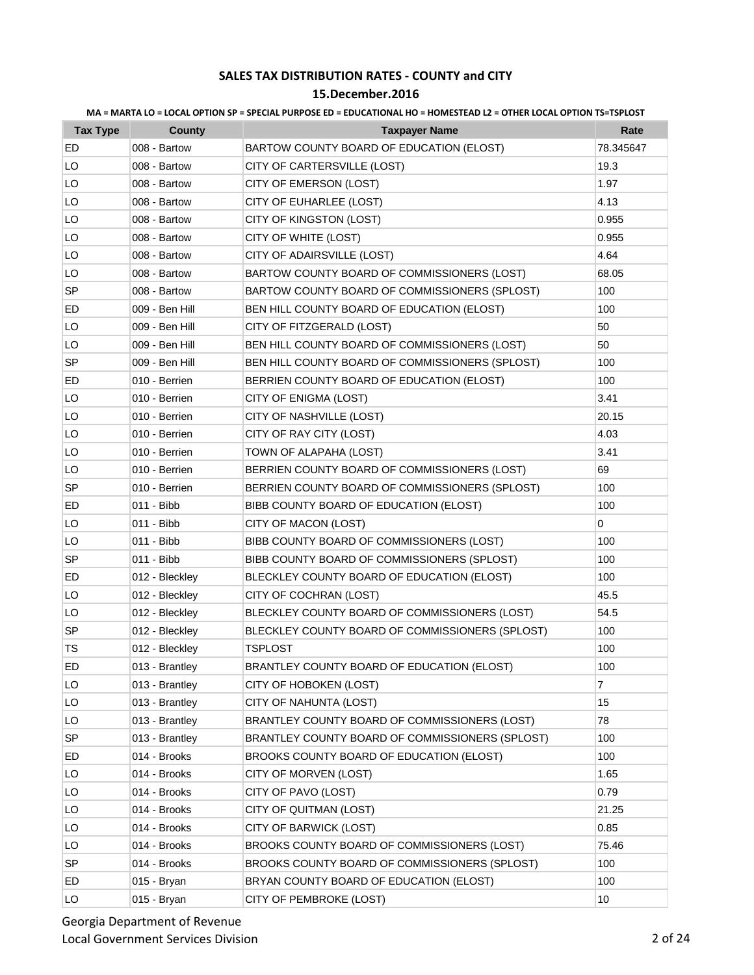### **15.December.2016**

| <b>Tax Type</b> | <b>County</b>  | <b>Taxpayer Name</b>                            | Rate      |
|-----------------|----------------|-------------------------------------------------|-----------|
| ED              | 008 - Bartow   | BARTOW COUNTY BOARD OF EDUCATION (ELOST)        | 78.345647 |
| LO              | 008 - Bartow   | CITY OF CARTERSVILLE (LOST)                     | 19.3      |
| LO              | 008 - Bartow   | CITY OF EMERSON (LOST)                          | 1.97      |
| LO              | 008 - Bartow   | CITY OF EUHARLEE (LOST)                         | 4.13      |
| LO              | 008 - Bartow   | CITY OF KINGSTON (LOST)                         | 0.955     |
| LO              | 008 - Bartow   | CITY OF WHITE (LOST)                            | 0.955     |
| LO              | 008 - Bartow   | CITY OF ADAIRSVILLE (LOST)                      | 4.64      |
| LO              | 008 - Bartow   | BARTOW COUNTY BOARD OF COMMISSIONERS (LOST)     | 68.05     |
| SP              | 008 - Bartow   | BARTOW COUNTY BOARD OF COMMISSIONERS (SPLOST)   | 100       |
| ED              | 009 - Ben Hill | BEN HILL COUNTY BOARD OF EDUCATION (ELOST)      | 100       |
| LO              | 009 - Ben Hill | CITY OF FITZGERALD (LOST)                       | 50        |
| LO              | 009 - Ben Hill | BEN HILL COUNTY BOARD OF COMMISSIONERS (LOST)   | 50        |
| SP              | 009 - Ben Hill | BEN HILL COUNTY BOARD OF COMMISSIONERS (SPLOST) | 100       |
| ED              | 010 - Berrien  | BERRIEN COUNTY BOARD OF EDUCATION (ELOST)       | 100       |
| LO              | 010 - Berrien  | CITY OF ENIGMA (LOST)                           | 3.41      |
| LO              | 010 - Berrien  | CITY OF NASHVILLE (LOST)                        | 20.15     |
| LO              | 010 - Berrien  | CITY OF RAY CITY (LOST)                         | 4.03      |
| LO              | 010 - Berrien  | TOWN OF ALAPAHA (LOST)                          | 3.41      |
| LO              | 010 - Berrien  | BERRIEN COUNTY BOARD OF COMMISSIONERS (LOST)    | 69        |
| <b>SP</b>       | 010 - Berrien  | BERRIEN COUNTY BOARD OF COMMISSIONERS (SPLOST)  | 100       |
| ED              | 011 - Bibb     | BIBB COUNTY BOARD OF EDUCATION (ELOST)          | 100       |
| LO              | 011 - Bibb     | CITY OF MACON (LOST)                            | 0         |
| LO              | 011 - Bibb     | BIBB COUNTY BOARD OF COMMISSIONERS (LOST)       | 100       |
| SP              | 011 - Bibb     | BIBB COUNTY BOARD OF COMMISSIONERS (SPLOST)     | 100       |
| ED              | 012 - Bleckley | BLECKLEY COUNTY BOARD OF EDUCATION (ELOST)      | 100       |
| LO              | 012 - Bleckley | CITY OF COCHRAN (LOST)                          | 45.5      |
| LO              | 012 - Bleckley | BLECKLEY COUNTY BOARD OF COMMISSIONERS (LOST)   | 54.5      |
| SP              | 012 - Bleckley | BLECKLEY COUNTY BOARD OF COMMISSIONERS (SPLOST) | 100       |
| TS              | 012 - Bleckley | <b>TSPLOST</b>                                  | 100       |
| ED              | 013 - Brantley | BRANTLEY COUNTY BOARD OF EDUCATION (ELOST)      | 100       |
| LO              | 013 - Brantley | CITY OF HOBOKEN (LOST)                          | 7         |
| LO              | 013 - Brantley | CITY OF NAHUNTA (LOST)                          | 15        |
| LO              | 013 - Brantley | BRANTLEY COUNTY BOARD OF COMMISSIONERS (LOST)   | 78        |
| SP              | 013 - Brantley | BRANTLEY COUNTY BOARD OF COMMISSIONERS (SPLOST) | 100       |
| ED.             | 014 - Brooks   | BROOKS COUNTY BOARD OF EDUCATION (ELOST)        | 100       |
| LO              | 014 - Brooks   | CITY OF MORVEN (LOST)                           | 1.65      |
| LO              | 014 - Brooks   | CITY OF PAVO (LOST)                             | 0.79      |
| LO              | 014 - Brooks   | CITY OF QUITMAN (LOST)                          | 21.25     |
| LO              | 014 - Brooks   | CITY OF BARWICK (LOST)                          | 0.85      |
| LO              | 014 - Brooks   | BROOKS COUNTY BOARD OF COMMISSIONERS (LOST)     | 75.46     |
| SP              | 014 - Brooks   | BROOKS COUNTY BOARD OF COMMISSIONERS (SPLOST)   | 100       |
| ED              | 015 - Bryan    | BRYAN COUNTY BOARD OF EDUCATION (ELOST)         | 100       |
| LO              | 015 - Bryan    | CITY OF PEMBROKE (LOST)                         | 10        |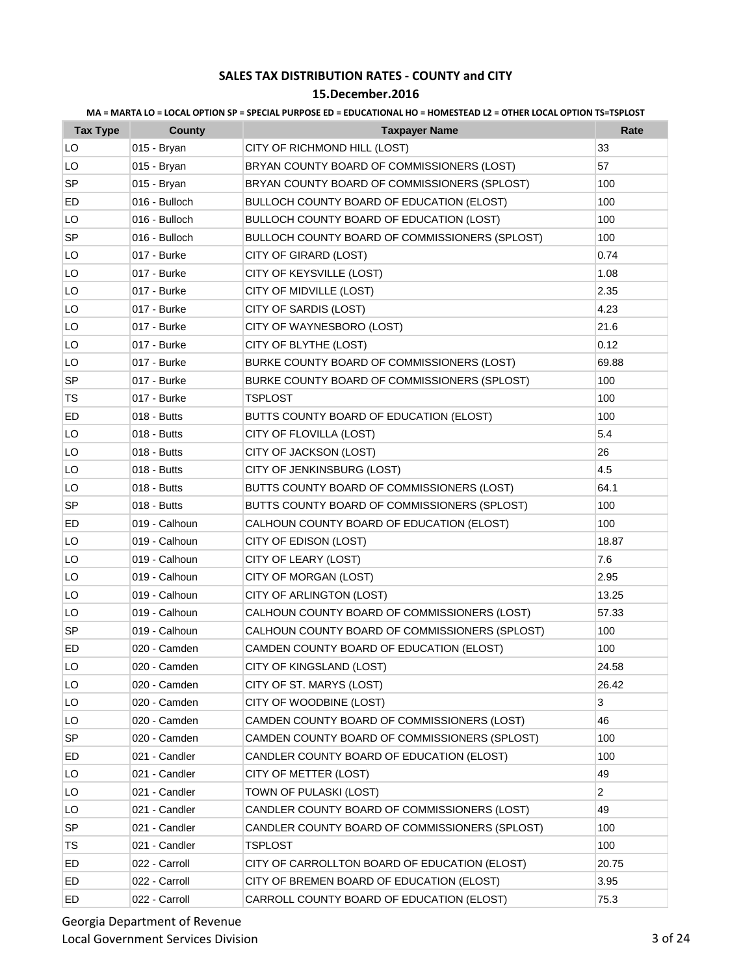### **15.December.2016**

| <b>Tax Type</b> | County        | <b>Taxpayer Name</b>                             | Rate           |
|-----------------|---------------|--------------------------------------------------|----------------|
| LO              | 015 - Bryan   | CITY OF RICHMOND HILL (LOST)                     | 33             |
| LO              | 015 - Bryan   | BRYAN COUNTY BOARD OF COMMISSIONERS (LOST)       | 57             |
| SP              | 015 - Bryan   | BRYAN COUNTY BOARD OF COMMISSIONERS (SPLOST)     | 100            |
| ED              | 016 - Bulloch | <b>BULLOCH COUNTY BOARD OF EDUCATION (ELOST)</b> | 100            |
| LO              | 016 - Bulloch | BULLOCH COUNTY BOARD OF EDUCATION (LOST)         | 100            |
| <b>SP</b>       | 016 - Bulloch | BULLOCH COUNTY BOARD OF COMMISSIONERS (SPLOST)   | 100            |
| LO              | 017 - Burke   | CITY OF GIRARD (LOST)                            | 0.74           |
| LO              | 017 - Burke   | CITY OF KEYSVILLE (LOST)                         | 1.08           |
| LO              | 017 - Burke   | CITY OF MIDVILLE (LOST)                          | 2.35           |
| LO              | 017 - Burke   | CITY OF SARDIS (LOST)                            | 4.23           |
| LO              | 017 - Burke   | CITY OF WAYNESBORO (LOST)                        | 21.6           |
| LO              | 017 - Burke   | CITY OF BLYTHE (LOST)                            | 0.12           |
| LO              | 017 - Burke   | BURKE COUNTY BOARD OF COMMISSIONERS (LOST)       | 69.88          |
| <b>SP</b>       | 017 - Burke   | BURKE COUNTY BOARD OF COMMISSIONERS (SPLOST)     | 100            |
| TS              | 017 - Burke   | <b>TSPLOST</b>                                   | 100            |
| ED              | 018 - Butts   | BUTTS COUNTY BOARD OF EDUCATION (ELOST)          | 100            |
| LO              | 018 - Butts   | CITY OF FLOVILLA (LOST)                          | 5.4            |
| LO              | 018 - Butts   | CITY OF JACKSON (LOST)                           | 26             |
| LO              | 018 - Butts   | CITY OF JENKINSBURG (LOST)                       | 4.5            |
| LO              | 018 - Butts   | BUTTS COUNTY BOARD OF COMMISSIONERS (LOST)       | 64.1           |
| <b>SP</b>       | 018 - Butts   | BUTTS COUNTY BOARD OF COMMISSIONERS (SPLOST)     | 100            |
| ED              | 019 - Calhoun | CALHOUN COUNTY BOARD OF EDUCATION (ELOST)        | 100            |
| LO              | 019 - Calhoun | CITY OF EDISON (LOST)                            | 18.87          |
| LO              | 019 - Calhoun | CITY OF LEARY (LOST)                             | 7.6            |
| LO              | 019 - Calhoun | CITY OF MORGAN (LOST)                            | 2.95           |
| LO              | 019 - Calhoun | CITY OF ARLINGTON (LOST)                         | 13.25          |
| LO              | 019 - Calhoun | CALHOUN COUNTY BOARD OF COMMISSIONERS (LOST)     | 57.33          |
| <b>SP</b>       | 019 - Calhoun | CALHOUN COUNTY BOARD OF COMMISSIONERS (SPLOST)   | 100            |
| ED              | 020 - Camden  | CAMDEN COUNTY BOARD OF EDUCATION (ELOST)         | 100            |
| LO              | 020 - Camden  | CITY OF KINGSLAND (LOST)                         | 24.58          |
| LO              | 020 - Camden  | CITY OF ST. MARYS (LOST)                         | 26.42          |
| LO              | 020 - Camden  | CITY OF WOODBINE (LOST)                          | 3              |
| LO              | 020 - Camden  | CAMDEN COUNTY BOARD OF COMMISSIONERS (LOST)      | 46             |
| SP              | 020 - Camden  | CAMDEN COUNTY BOARD OF COMMISSIONERS (SPLOST)    | 100            |
| ED              | 021 - Candler | CANDLER COUNTY BOARD OF EDUCATION (ELOST)        | 100            |
| LO              | 021 - Candler | CITY OF METTER (LOST)                            | 49             |
| LO              | 021 - Candler | TOWN OF PULASKI (LOST)                           | $\overline{c}$ |
| LO              | 021 - Candler | CANDLER COUNTY BOARD OF COMMISSIONERS (LOST)     | 49             |
| SP              | 021 - Candler | CANDLER COUNTY BOARD OF COMMISSIONERS (SPLOST)   | 100            |
| TS              | 021 - Candler | <b>TSPLOST</b>                                   | 100            |
| ED              | 022 - Carroll | CITY OF CARROLLTON BOARD OF EDUCATION (ELOST)    | 20.75          |
| ED              | 022 - Carroll | CITY OF BREMEN BOARD OF EDUCATION (ELOST)        | 3.95           |
| ED              | 022 - Carroll | CARROLL COUNTY BOARD OF EDUCATION (ELOST)        | 75.3           |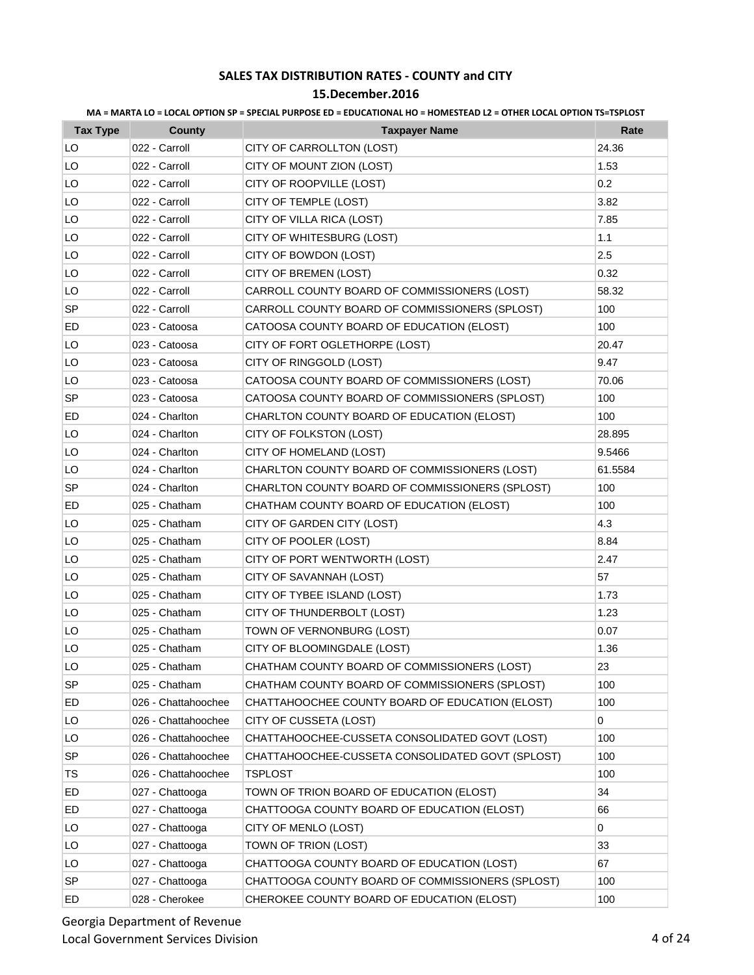|  |  | MA = MARTA LO = LOCAL OPTION SP = SPECIAL PURPOSE ED = EDUCATIONAL HO = HOMESTEAD L2 = OTHER LOCAL OPTION TS=TSPLOST |  |  |
|--|--|----------------------------------------------------------------------------------------------------------------------|--|--|
|--|--|----------------------------------------------------------------------------------------------------------------------|--|--|

| <b>Tax Type</b> | <b>County</b>       | <b>Taxpayer Name</b>                             | Rate    |
|-----------------|---------------------|--------------------------------------------------|---------|
| LO              | 022 - Carroll       | CITY OF CARROLLTON (LOST)                        | 24.36   |
| LO              | 022 - Carroll       | CITY OF MOUNT ZION (LOST)                        | 1.53    |
| LO              | 022 - Carroll       | CITY OF ROOPVILLE (LOST)                         | 0.2     |
| LO              | 022 - Carroll       | CITY OF TEMPLE (LOST)                            | 3.82    |
| LO              | 022 - Carroll       | CITY OF VILLA RICA (LOST)                        | 7.85    |
| LO              | 022 - Carroll       | CITY OF WHITESBURG (LOST)                        | 1.1     |
| LO              | 022 - Carroll       | CITY OF BOWDON (LOST)                            | 2.5     |
| LO              | 022 - Carroll       | CITY OF BREMEN (LOST)                            | 0.32    |
| LO              | 022 - Carroll       | CARROLL COUNTY BOARD OF COMMISSIONERS (LOST)     | 58.32   |
| <b>SP</b>       | 022 - Carroll       | CARROLL COUNTY BOARD OF COMMISSIONERS (SPLOST)   | 100     |
| ED              | 023 - Catoosa       | CATOOSA COUNTY BOARD OF EDUCATION (ELOST)        | 100     |
| LO              | 023 - Catoosa       | CITY OF FORT OGLETHORPE (LOST)                   | 20.47   |
| LO              | 023 - Catoosa       | CITY OF RINGGOLD (LOST)                          | 9.47    |
| LO              | 023 - Catoosa       | CATOOSA COUNTY BOARD OF COMMISSIONERS (LOST)     | 70.06   |
| SP              | 023 - Catoosa       | CATOOSA COUNTY BOARD OF COMMISSIONERS (SPLOST)   | 100     |
| ED              | 024 - Charlton      | CHARLTON COUNTY BOARD OF EDUCATION (ELOST)       | 100     |
| LO              | 024 - Charlton      | CITY OF FOLKSTON (LOST)                          | 28.895  |
| LO              | 024 - Charlton      | CITY OF HOMELAND (LOST)                          | 9.5466  |
| LO              | 024 - Charlton      | CHARLTON COUNTY BOARD OF COMMISSIONERS (LOST)    | 61.5584 |
| SP              | 024 - Charlton      | CHARLTON COUNTY BOARD OF COMMISSIONERS (SPLOST)  | 100     |
| ED              | 025 - Chatham       | CHATHAM COUNTY BOARD OF EDUCATION (ELOST)        | 100     |
| LO              | 025 - Chatham       | CITY OF GARDEN CITY (LOST)                       | 4.3     |
| LO              | 025 - Chatham       | CITY OF POOLER (LOST)                            | 8.84    |
| LO              | 025 - Chatham       | CITY OF PORT WENTWORTH (LOST)                    | 2.47    |
| LO              | 025 - Chatham       | CITY OF SAVANNAH (LOST)                          | 57      |
| LO              | 025 - Chatham       | CITY OF TYBEE ISLAND (LOST)                      | 1.73    |
| LO              | 025 - Chatham       | CITY OF THUNDERBOLT (LOST)                       | 1.23    |
| LO              | 025 - Chatham       | TOWN OF VERNONBURG (LOST)                        | 0.07    |
| LO              | 025 - Chatham       | CITY OF BLOOMINGDALE (LOST)                      | 1.36    |
| LO              | 025 - Chatham       | CHATHAM COUNTY BOARD OF COMMISSIONERS (LOST)     | 23      |
| <b>SP</b>       | 025 - Chatham       | CHATHAM COUNTY BOARD OF COMMISSIONERS (SPLOST)   | 100     |
| ED              | 026 - Chattahoochee | CHATTAHOOCHEE COUNTY BOARD OF EDUCATION (ELOST)  | 100     |
| LO              | 026 - Chattahoochee | CITY OF CUSSETA (LOST)                           | 0       |
| LO              | 026 - Chattahoochee | CHATTAHOOCHEE-CUSSETA CONSOLIDATED GOVT (LOST)   | 100     |
| <b>SP</b>       | 026 - Chattahoochee | CHATTAHOOCHEE-CUSSETA CONSOLIDATED GOVT (SPLOST) | 100     |
| TS              | 026 - Chattahoochee | <b>TSPLOST</b>                                   | 100     |
| ED              | 027 - Chattooga     | TOWN OF TRION BOARD OF EDUCATION (ELOST)         | 34      |
| ED              | 027 - Chattooga     | CHATTOOGA COUNTY BOARD OF EDUCATION (ELOST)      | 66      |
| LO              | 027 - Chattooga     | CITY OF MENLO (LOST)                             | 0       |
| LO              | 027 - Chattooga     | TOWN OF TRION (LOST)                             | 33      |
| LO              | 027 - Chattooga     | CHATTOOGA COUNTY BOARD OF EDUCATION (LOST)       | 67      |
| <b>SP</b>       | 027 - Chattooga     | CHATTOOGA COUNTY BOARD OF COMMISSIONERS (SPLOST) | 100     |
| ED              | 028 - Cherokee      | CHEROKEE COUNTY BOARD OF EDUCATION (ELOST)       | 100     |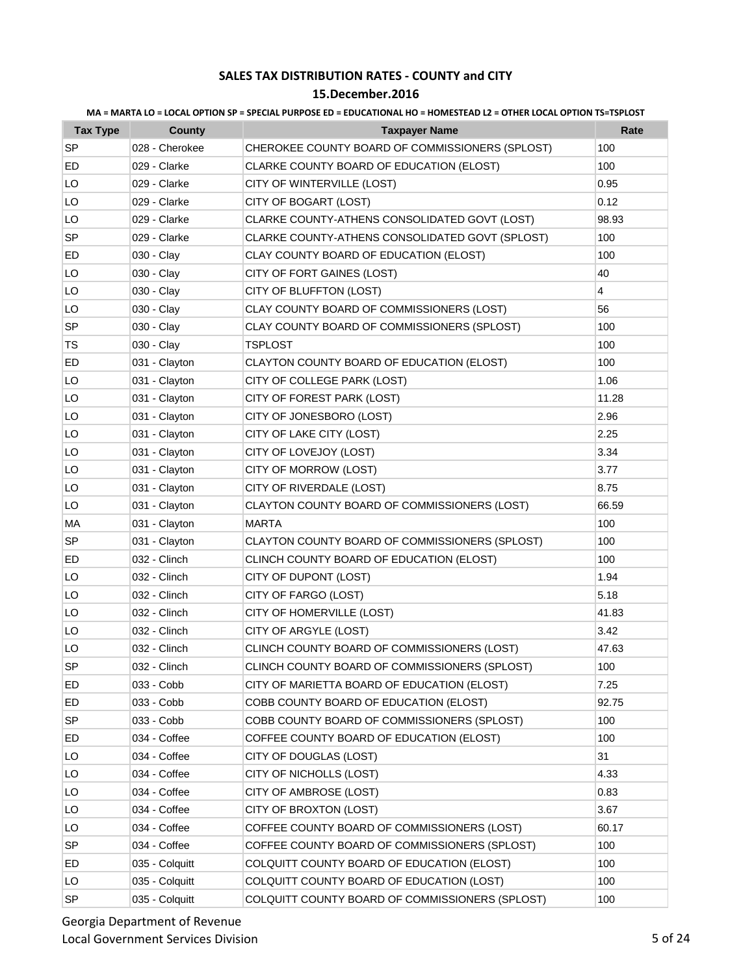### **15.December.2016**

| <b>Tax Type</b> | <b>County</b>  | <b>Taxpayer Name</b>                            | Rate           |
|-----------------|----------------|-------------------------------------------------|----------------|
| SP              | 028 - Cherokee | CHEROKEE COUNTY BOARD OF COMMISSIONERS (SPLOST) | 100            |
| ED              | 029 - Clarke   | CLARKE COUNTY BOARD OF EDUCATION (ELOST)        | 100            |
| LO              | 029 - Clarke   | CITY OF WINTERVILLE (LOST)                      | 0.95           |
| LO              | 029 - Clarke   | CITY OF BOGART (LOST)                           | 0.12           |
| LO              | 029 - Clarke   | CLARKE COUNTY-ATHENS CONSOLIDATED GOVT (LOST)   | 98.93          |
| SP              | 029 - Clarke   | CLARKE COUNTY-ATHENS CONSOLIDATED GOVT (SPLOST) | 100            |
| ED              | 030 - Clay     | CLAY COUNTY BOARD OF EDUCATION (ELOST)          | 100            |
| LO              | 030 - Clay     | CITY OF FORT GAINES (LOST)                      | 40             |
| LO              | 030 - Clay     | CITY OF BLUFFTON (LOST)                         | $\overline{4}$ |
| LO              | 030 - Clay     | CLAY COUNTY BOARD OF COMMISSIONERS (LOST)       | 56             |
| <b>SP</b>       | 030 - Clay     | CLAY COUNTY BOARD OF COMMISSIONERS (SPLOST)     | 100            |
| TS              | 030 - Clay     | <b>TSPLOST</b>                                  | 100            |
| ED              | 031 - Clayton  | CLAYTON COUNTY BOARD OF EDUCATION (ELOST)       | 100            |
| LO              | 031 - Clayton  | CITY OF COLLEGE PARK (LOST)                     | 1.06           |
| LO              | 031 - Clayton  | CITY OF FOREST PARK (LOST)                      | 11.28          |
| LO              | 031 - Clayton  | CITY OF JONESBORO (LOST)                        | 2.96           |
| LO              | 031 - Clayton  | CITY OF LAKE CITY (LOST)                        | 2.25           |
| LO              | 031 - Clayton  | CITY OF LOVEJOY (LOST)                          | 3.34           |
| LO              | 031 - Clayton  | CITY OF MORROW (LOST)                           | 3.77           |
| LO              | 031 - Clayton  | CITY OF RIVERDALE (LOST)                        | 8.75           |
| LO              | 031 - Clayton  | CLAYTON COUNTY BOARD OF COMMISSIONERS (LOST)    | 66.59          |
| MA              | 031 - Clayton  | <b>MARTA</b>                                    | 100            |
| <b>SP</b>       | 031 - Clayton  | CLAYTON COUNTY BOARD OF COMMISSIONERS (SPLOST)  | 100            |
| ED              | 032 - Clinch   | CLINCH COUNTY BOARD OF EDUCATION (ELOST)        | 100            |
| LO              | 032 - Clinch   | CITY OF DUPONT (LOST)                           | 1.94           |
| LO              | 032 - Clinch   | CITY OF FARGO (LOST)                            | 5.18           |
| LO              | 032 - Clinch   | CITY OF HOMERVILLE (LOST)                       | 41.83          |
| LO              | 032 - Clinch   | CITY OF ARGYLE (LOST)                           | 3.42           |
| LO              | 032 - Clinch   | CLINCH COUNTY BOARD OF COMMISSIONERS (LOST)     | 47.63          |
| SP              | 032 - Clinch   | CLINCH COUNTY BOARD OF COMMISSIONERS (SPLOST)   | 100            |
| ED              | 033 - Cobb     | CITY OF MARIETTA BOARD OF EDUCATION (ELOST)     | 7.25           |
| ED              | 033 - Cobb     | COBB COUNTY BOARD OF EDUCATION (ELOST)          | 92.75          |
| <b>SP</b>       | 033 - Cobb     | COBB COUNTY BOARD OF COMMISSIONERS (SPLOST)     | 100            |
| ED              | 034 - Coffee   | COFFEE COUNTY BOARD OF EDUCATION (ELOST)        | 100            |
| LO              | 034 - Coffee   | CITY OF DOUGLAS (LOST)                          | 31             |
| LO              | 034 - Coffee   | CITY OF NICHOLLS (LOST)                         | 4.33           |
| LO              | 034 - Coffee   | CITY OF AMBROSE (LOST)                          | 0.83           |
| LO              | 034 - Coffee   | CITY OF BROXTON (LOST)                          | 3.67           |
| LO              | 034 - Coffee   | COFFEE COUNTY BOARD OF COMMISSIONERS (LOST)     | 60.17          |
| <b>SP</b>       | 034 - Coffee   | COFFEE COUNTY BOARD OF COMMISSIONERS (SPLOST)   | 100            |
| ED              | 035 - Colquitt | COLQUITT COUNTY BOARD OF EDUCATION (ELOST)      | 100            |
| LO              | 035 - Colquitt | COLQUITT COUNTY BOARD OF EDUCATION (LOST)       | 100            |
| SP              | 035 - Colquitt | COLQUITT COUNTY BOARD OF COMMISSIONERS (SPLOST) | 100            |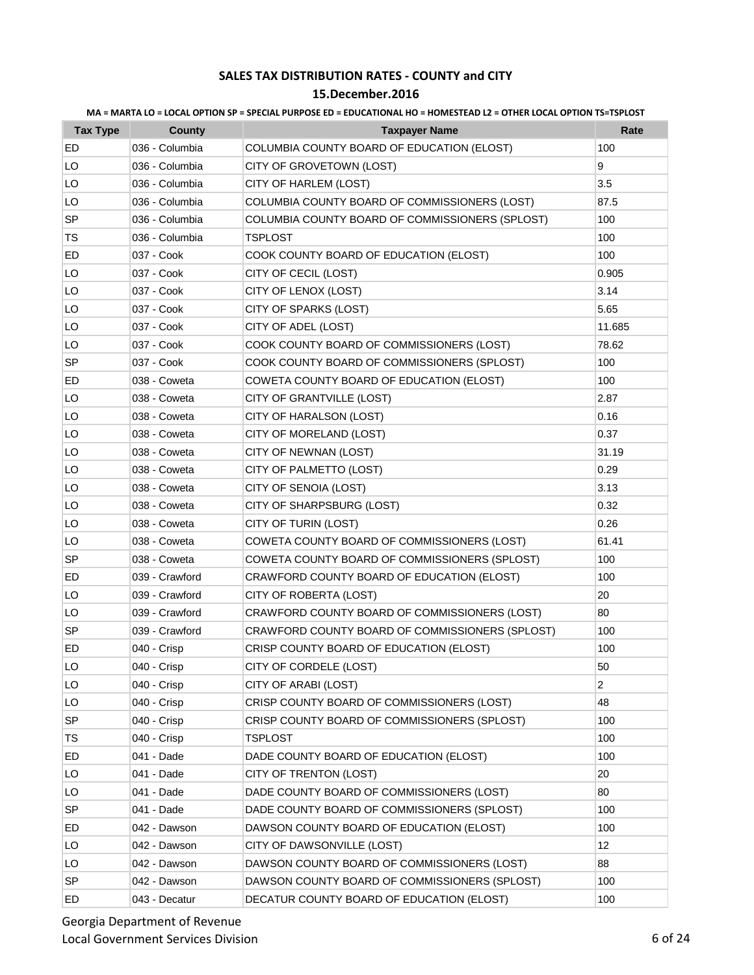| MA = MARTA LO = LOCAL OPTION SP = SPECIAL PURPOSE ED = EDUCATIONAL HO = HOMESTEAD L2 = OTHER LOCAL OPTION TS=TSPLOST |  |  |
|----------------------------------------------------------------------------------------------------------------------|--|--|
|                                                                                                                      |  |  |

| <b>Tax Type</b> | <b>County</b>  | <b>Taxpayer Name</b>                            | Rate           |
|-----------------|----------------|-------------------------------------------------|----------------|
| ED              | 036 - Columbia | COLUMBIA COUNTY BOARD OF EDUCATION (ELOST)      | 100            |
| LO              | 036 - Columbia | CITY OF GROVETOWN (LOST)                        | 9              |
| LO              | 036 - Columbia | CITY OF HARLEM (LOST)                           | 3.5            |
| LO              | 036 - Columbia | COLUMBIA COUNTY BOARD OF COMMISSIONERS (LOST)   | 87.5           |
| <b>SP</b>       | 036 - Columbia | COLUMBIA COUNTY BOARD OF COMMISSIONERS (SPLOST) | 100            |
| TS              | 036 - Columbia | TSPLOST                                         | 100            |
| ED              | 037 - Cook     | COOK COUNTY BOARD OF EDUCATION (ELOST)          | 100            |
| LO              | 037 - Cook     | CITY OF CECIL (LOST)                            | 0.905          |
| LO              | 037 - Cook     | CITY OF LENOX (LOST)                            | 3.14           |
| LO              | 037 - Cook     | CITY OF SPARKS (LOST)                           | 5.65           |
| LO              | 037 - Cook     | CITY OF ADEL (LOST)                             | 11.685         |
| LO              | 037 - Cook     | COOK COUNTY BOARD OF COMMISSIONERS (LOST)       | 78.62          |
| <b>SP</b>       | 037 - Cook     | COOK COUNTY BOARD OF COMMISSIONERS (SPLOST)     | 100            |
| ED              | 038 - Coweta   | COWETA COUNTY BOARD OF EDUCATION (ELOST)        | 100            |
| LO              | 038 - Coweta   | CITY OF GRANTVILLE (LOST)                       | 2.87           |
| LO              | 038 - Coweta   | CITY OF HARALSON (LOST)                         | 0.16           |
| LO              | 038 - Coweta   | CITY OF MORELAND (LOST)                         | 0.37           |
| LO              | 038 - Coweta   | CITY OF NEWNAN (LOST)                           | 31.19          |
| LO              | 038 - Coweta   | CITY OF PALMETTO (LOST)                         | 0.29           |
| LO              | 038 - Coweta   | CITY OF SENOIA (LOST)                           | 3.13           |
| LO              | 038 - Coweta   | CITY OF SHARPSBURG (LOST)                       | 0.32           |
| LO              | 038 - Coweta   | CITY OF TURIN (LOST)                            | 0.26           |
| LO              | 038 - Coweta   | COWETA COUNTY BOARD OF COMMISSIONERS (LOST)     | 61.41          |
| <b>SP</b>       | 038 - Coweta   | COWETA COUNTY BOARD OF COMMISSIONERS (SPLOST)   | 100            |
| ED              | 039 - Crawford | CRAWFORD COUNTY BOARD OF EDUCATION (ELOST)      | 100            |
| LO              | 039 - Crawford | CITY OF ROBERTA (LOST)                          | 20             |
| LO              | 039 - Crawford | CRAWFORD COUNTY BOARD OF COMMISSIONERS (LOST)   | 80             |
| SP              | 039 - Crawford | CRAWFORD COUNTY BOARD OF COMMISSIONERS (SPLOST) | 100            |
| ED              | 040 - Crisp    | CRISP COUNTY BOARD OF EDUCATION (ELOST)         | 100            |
| LO              | 040 - Crisp    | CITY OF CORDELE (LOST)                          | 50             |
| LO              | 040 - Crisp    | CITY OF ARABI (LOST)                            | $\overline{c}$ |
| LO              | 040 - Crisp    | CRISP COUNTY BOARD OF COMMISSIONERS (LOST)      | 48             |
| SP              | 040 - Crisp    | CRISP COUNTY BOARD OF COMMISSIONERS (SPLOST)    | 100            |
| TS              | 040 - Crisp    | <b>TSPLOST</b>                                  | 100            |
| ED              | 041 - Dade     | DADE COUNTY BOARD OF EDUCATION (ELOST)          | 100            |
| LO              | 041 - Dade     | CITY OF TRENTON (LOST)                          | 20             |
| LO              | 041 - Dade     | DADE COUNTY BOARD OF COMMISSIONERS (LOST)       | 80             |
| SP              | 041 - Dade     | DADE COUNTY BOARD OF COMMISSIONERS (SPLOST)     | 100            |
| ED              | 042 - Dawson   | DAWSON COUNTY BOARD OF EDUCATION (ELOST)        | 100            |
| LO              | 042 - Dawson   | CITY OF DAWSONVILLE (LOST)                      | 12             |
| LO              | 042 - Dawson   | DAWSON COUNTY BOARD OF COMMISSIONERS (LOST)     | 88             |
| <b>SP</b>       | 042 - Dawson   | DAWSON COUNTY BOARD OF COMMISSIONERS (SPLOST)   | 100            |
| ED              | 043 - Decatur  | DECATUR COUNTY BOARD OF EDUCATION (ELOST)       | 100            |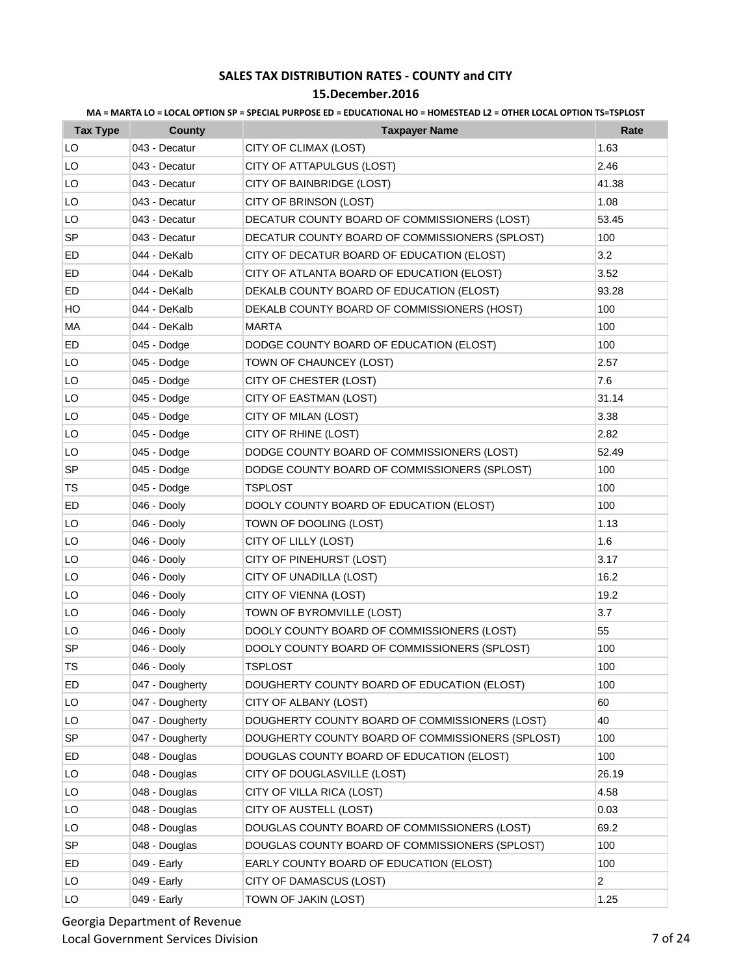### **15.December.2016**

| <b>Tax Type</b> | County          | <b>Taxpayer Name</b>                             | Rate           |
|-----------------|-----------------|--------------------------------------------------|----------------|
| LO              | 043 - Decatur   | CITY OF CLIMAX (LOST)                            | 1.63           |
| LO              | 043 - Decatur   | CITY OF ATTAPULGUS (LOST)                        | 2.46           |
| LO              | 043 - Decatur   | CITY OF BAINBRIDGE (LOST)                        | 41.38          |
| LO              | 043 - Decatur   | CITY OF BRINSON (LOST)                           | 1.08           |
| LO              | 043 - Decatur   | DECATUR COUNTY BOARD OF COMMISSIONERS (LOST)     | 53.45          |
| <b>SP</b>       | 043 - Decatur   | DECATUR COUNTY BOARD OF COMMISSIONERS (SPLOST)   | 100            |
| ED              | 044 - DeKalb    | CITY OF DECATUR BOARD OF EDUCATION (ELOST)       | 3.2            |
| ED              | 044 - DeKalb    | CITY OF ATLANTA BOARD OF EDUCATION (ELOST)       | 3.52           |
| ED              | 044 - DeKalb    | DEKALB COUNTY BOARD OF EDUCATION (ELOST)         | 93.28          |
| HO              | 044 - DeKalb    | DEKALB COUNTY BOARD OF COMMISSIONERS (HOST)      | 100            |
| MA              | 044 - DeKalb    | <b>MARTA</b>                                     | 100            |
| ED              | 045 - Dodge     | DODGE COUNTY BOARD OF EDUCATION (ELOST)          | 100            |
| LO              | 045 - Dodge     | TOWN OF CHAUNCEY (LOST)                          | 2.57           |
| LO              | 045 - Dodge     | CITY OF CHESTER (LOST)                           | 7.6            |
| LO              | 045 - Dodge     | CITY OF EASTMAN (LOST)                           | 31.14          |
| LO              | 045 - Dodge     | CITY OF MILAN (LOST)                             | 3.38           |
| LO              | 045 - Dodge     | CITY OF RHINE (LOST)                             | 2.82           |
| LO              | 045 - Dodge     | DODGE COUNTY BOARD OF COMMISSIONERS (LOST)       | 52.49          |
| SP              | 045 - Dodge     | DODGE COUNTY BOARD OF COMMISSIONERS (SPLOST)     | 100            |
| TS              | 045 - Dodge     | <b>TSPLOST</b>                                   | 100            |
| ED              | 046 - Dooly     | DOOLY COUNTY BOARD OF EDUCATION (ELOST)          | 100            |
| LO              | 046 - Dooly     | TOWN OF DOOLING (LOST)                           | 1.13           |
| LO              | 046 - Dooly     | CITY OF LILLY (LOST)                             | 1.6            |
| LO              | 046 - Dooly     | CITY OF PINEHURST (LOST)                         | 3.17           |
| LO              | 046 - Dooly     | CITY OF UNADILLA (LOST)                          | 16.2           |
| LO              | 046 - Dooly     | CITY OF VIENNA (LOST)                            | 19.2           |
| LO              | 046 - Dooly     | TOWN OF BYROMVILLE (LOST)                        | 3.7            |
| LO              | 046 - Dooly     | DOOLY COUNTY BOARD OF COMMISSIONERS (LOST)       | 55             |
| <b>SP</b>       | 046 - Dooly     | DOOLY COUNTY BOARD OF COMMISSIONERS (SPLOST)     | 100            |
| TS              | 046 - Dooly     | <b>TSPLOST</b>                                   | 100            |
| ED              | 047 - Dougherty | DOUGHERTY COUNTY BOARD OF EDUCATION (ELOST)      | 100            |
| LO              | 047 - Dougherty | CITY OF ALBANY (LOST)                            | 60             |
| LO              | 047 - Dougherty | DOUGHERTY COUNTY BOARD OF COMMISSIONERS (LOST)   | 40             |
| SP              | 047 - Dougherty | DOUGHERTY COUNTY BOARD OF COMMISSIONERS (SPLOST) | 100            |
| ED              | 048 - Douglas   | DOUGLAS COUNTY BOARD OF EDUCATION (ELOST)        | 100            |
| LO              | 048 - Douglas   | CITY OF DOUGLASVILLE (LOST)                      | 26.19          |
| LO              | 048 - Douglas   | CITY OF VILLA RICA (LOST)                        | 4.58           |
| LO              | 048 - Douglas   | CITY OF AUSTELL (LOST)                           | 0.03           |
| LO              | 048 - Douglas   | DOUGLAS COUNTY BOARD OF COMMISSIONERS (LOST)     | 69.2           |
| <b>SP</b>       | 048 - Douglas   | DOUGLAS COUNTY BOARD OF COMMISSIONERS (SPLOST)   | 100            |
| ED              | 049 - Early     | EARLY COUNTY BOARD OF EDUCATION (ELOST)          | 100            |
| LO              | 049 - Early     | CITY OF DAMASCUS (LOST)                          | $\overline{2}$ |
| LO              | 049 - Early     | TOWN OF JAKIN (LOST)                             | 1.25           |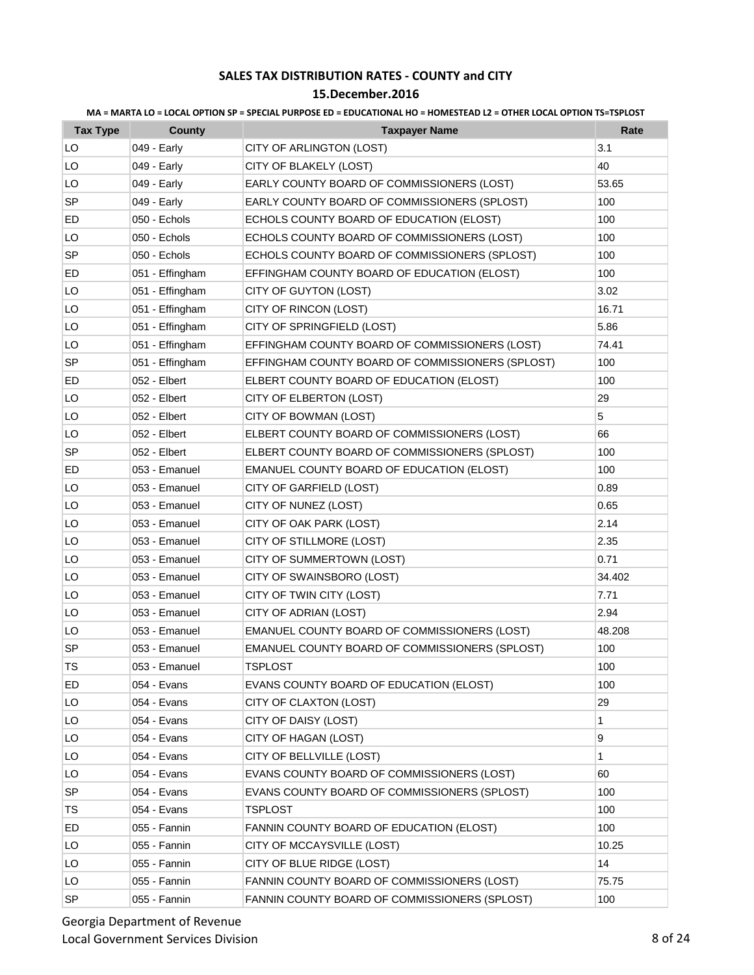### **15.December.2016**

| <b>Tax Type</b> | <b>County</b>   | <b>Taxpayer Name</b>                             | Rate         |
|-----------------|-----------------|--------------------------------------------------|--------------|
| LO              | 049 - Early     | CITY OF ARLINGTON (LOST)                         | 3.1          |
| LO              | 049 - Early     | CITY OF BLAKELY (LOST)                           | 40           |
| LO              | 049 - Early     | EARLY COUNTY BOARD OF COMMISSIONERS (LOST)       | 53.65        |
| SP              | 049 - Early     | EARLY COUNTY BOARD OF COMMISSIONERS (SPLOST)     | 100          |
| ED              | 050 - Echols    | ECHOLS COUNTY BOARD OF EDUCATION (ELOST)         | 100          |
| LO              | 050 - Echols    | ECHOLS COUNTY BOARD OF COMMISSIONERS (LOST)      | 100          |
| <b>SP</b>       | 050 - Echols    | ECHOLS COUNTY BOARD OF COMMISSIONERS (SPLOST)    | 100          |
| ED              | 051 - Effingham | EFFINGHAM COUNTY BOARD OF EDUCATION (ELOST)      | 100          |
| LO              | 051 - Effingham | CITY OF GUYTON (LOST)                            | 3.02         |
| LO              | 051 - Effingham | CITY OF RINCON (LOST)                            | 16.71        |
| LO              | 051 - Effingham | CITY OF SPRINGFIELD (LOST)                       | 5.86         |
| LO              | 051 - Effingham | EFFINGHAM COUNTY BOARD OF COMMISSIONERS (LOST)   | 74.41        |
| SP              | 051 - Effingham | EFFINGHAM COUNTY BOARD OF COMMISSIONERS (SPLOST) | 100          |
| ED              | 052 - Elbert    | ELBERT COUNTY BOARD OF EDUCATION (ELOST)         | 100          |
| LO              | 052 - Elbert    | CITY OF ELBERTON (LOST)                          | 29           |
| LO              | 052 - Elbert    | CITY OF BOWMAN (LOST)                            | 5            |
| LO              | 052 - Elbert    | ELBERT COUNTY BOARD OF COMMISSIONERS (LOST)      | 66           |
| SP              | 052 - Elbert    | ELBERT COUNTY BOARD OF COMMISSIONERS (SPLOST)    | 100          |
| ED              | 053 - Emanuel   | EMANUEL COUNTY BOARD OF EDUCATION (ELOST)        | 100          |
| LO              | 053 - Emanuel   | CITY OF GARFIELD (LOST)                          | 0.89         |
| LO              | 053 - Emanuel   | CITY OF NUNEZ (LOST)                             | 0.65         |
| LO              | 053 - Emanuel   | CITY OF OAK PARK (LOST)                          | 2.14         |
| LO              | 053 - Emanuel   | CITY OF STILLMORE (LOST)                         | 2.35         |
| LO              | 053 - Emanuel   | CITY OF SUMMERTOWN (LOST)                        | 0.71         |
| LO              | 053 - Emanuel   | CITY OF SWAINSBORO (LOST)                        | 34.402       |
| LO              | 053 - Emanuel   | CITY OF TWIN CITY (LOST)                         | 7.71         |
| LO              | 053 - Emanuel   | CITY OF ADRIAN (LOST)                            | 2.94         |
| LO              | 053 - Emanuel   | EMANUEL COUNTY BOARD OF COMMISSIONERS (LOST)     | 48.208       |
| <b>SP</b>       | 053 - Emanuel   | EMANUEL COUNTY BOARD OF COMMISSIONERS (SPLOST)   | 100          |
| TS              | 053 - Emanuel   | <b>TSPLOST</b>                                   | 100          |
| ED              | 054 - Evans     | EVANS COUNTY BOARD OF EDUCATION (ELOST)          | 100          |
| LO              | 054 - Evans     | CITY OF CLAXTON (LOST)                           | 29           |
| LO              | 054 - Evans     | CITY OF DAISY (LOST)                             | 1            |
| LO              | 054 - Evans     | CITY OF HAGAN (LOST)                             | 9            |
| LO              | 054 - Evans     | CITY OF BELLVILLE (LOST)                         | $\mathbf{1}$ |
| LO              | 054 - Evans     | EVANS COUNTY BOARD OF COMMISSIONERS (LOST)       | 60           |
| SP              | 054 - Evans     | EVANS COUNTY BOARD OF COMMISSIONERS (SPLOST)     | 100          |
| <b>TS</b>       | 054 - Evans     | <b>TSPLOST</b>                                   | 100          |
| ED              | 055 - Fannin    | FANNIN COUNTY BOARD OF EDUCATION (ELOST)         | 100          |
| LO              | 055 - Fannin    | CITY OF MCCAYSVILLE (LOST)                       | 10.25        |
| LO              | 055 - Fannin    | CITY OF BLUE RIDGE (LOST)                        | 14           |
| LO              | 055 - Fannin    | FANNIN COUNTY BOARD OF COMMISSIONERS (LOST)      | 75.75        |
| SP              | 055 - Fannin    | FANNIN COUNTY BOARD OF COMMISSIONERS (SPLOST)    | 100          |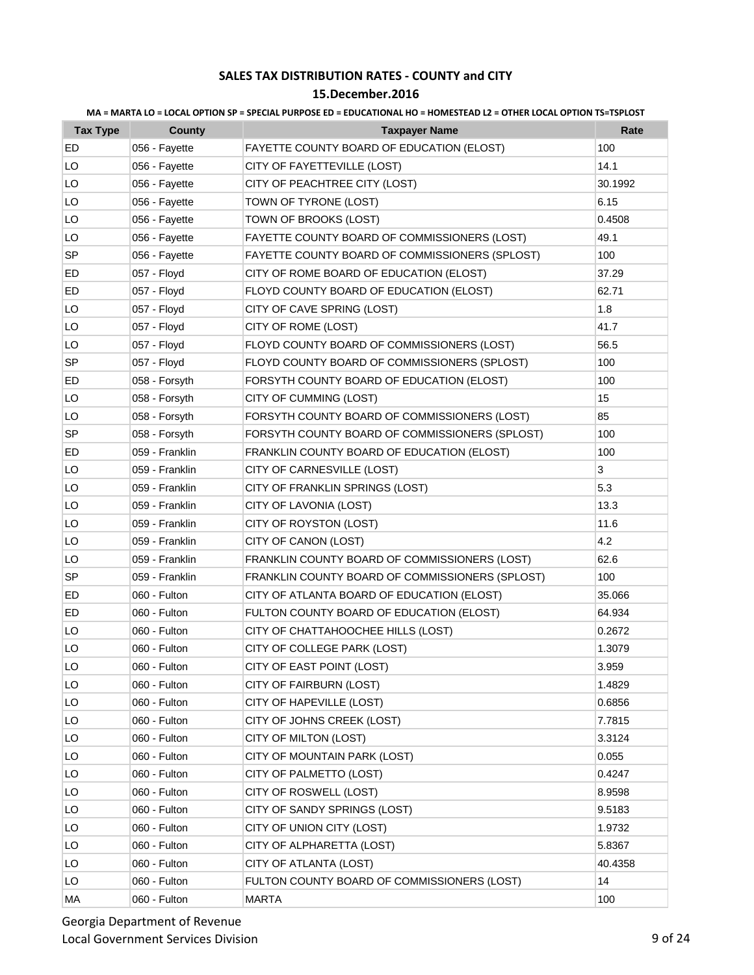### **15.December.2016**

| <b>Tax Type</b> | County         | <b>Taxpayer Name</b>                            | Rate    |
|-----------------|----------------|-------------------------------------------------|---------|
| ED              | 056 - Fayette  | FAYETTE COUNTY BOARD OF EDUCATION (ELOST)       | 100     |
| LO              | 056 - Fayette  | CITY OF FAYETTEVILLE (LOST)                     | 14.1    |
| LO              | 056 - Fayette  | CITY OF PEACHTREE CITY (LOST)                   | 30.1992 |
| LO              | 056 - Fayette  | TOWN OF TYRONE (LOST)                           | 6.15    |
| LO              | 056 - Fayette  | TOWN OF BROOKS (LOST)                           | 0.4508  |
| LO              | 056 - Fayette  | FAYETTE COUNTY BOARD OF COMMISSIONERS (LOST)    | 49.1    |
| SP              | 056 - Fayette  | FAYETTE COUNTY BOARD OF COMMISSIONERS (SPLOST)  | 100     |
| ED              | 057 - Floyd    | CITY OF ROME BOARD OF EDUCATION (ELOST)         | 37.29   |
| ED              | 057 - Floyd    | FLOYD COUNTY BOARD OF EDUCATION (ELOST)         | 62.71   |
| LO              | 057 - Floyd    | CITY OF CAVE SPRING (LOST)                      | 1.8     |
| LO              | 057 - Floyd    | CITY OF ROME (LOST)                             | 41.7    |
| LO              | 057 - Floyd    | FLOYD COUNTY BOARD OF COMMISSIONERS (LOST)      | 56.5    |
| SP              | 057 - Floyd    | FLOYD COUNTY BOARD OF COMMISSIONERS (SPLOST)    | 100     |
| ED              | 058 - Forsyth  | FORSYTH COUNTY BOARD OF EDUCATION (ELOST)       | 100     |
| LO              | 058 - Forsyth  | CITY OF CUMMING (LOST)                          | 15      |
| LO              | 058 - Forsyth  | FORSYTH COUNTY BOARD OF COMMISSIONERS (LOST)    | 85      |
| <b>SP</b>       | 058 - Forsyth  | FORSYTH COUNTY BOARD OF COMMISSIONERS (SPLOST)  | 100     |
| ED              | 059 - Franklin | FRANKLIN COUNTY BOARD OF EDUCATION (ELOST)      | 100     |
| LO              | 059 - Franklin | CITY OF CARNESVILLE (LOST)                      | 3       |
| LO              | 059 - Franklin | CITY OF FRANKLIN SPRINGS (LOST)                 | 5.3     |
| LO              | 059 - Franklin | CITY OF LAVONIA (LOST)                          | 13.3    |
| LO              | 059 - Franklin | CITY OF ROYSTON (LOST)                          | 11.6    |
| LO              | 059 - Franklin | CITY OF CANON (LOST)                            | 4.2     |
| LO              | 059 - Franklin | FRANKLIN COUNTY BOARD OF COMMISSIONERS (LOST)   | 62.6    |
| SP              | 059 - Franklin | FRANKLIN COUNTY BOARD OF COMMISSIONERS (SPLOST) | 100     |
| ED              | 060 - Fulton   | CITY OF ATLANTA BOARD OF EDUCATION (ELOST)      | 35.066  |
| ED              | 060 - Fulton   | FULTON COUNTY BOARD OF EDUCATION (ELOST)        | 64.934  |
| LO              | 060 - Fulton   | CITY OF CHATTAHOOCHEE HILLS (LOST)              | 0.2672  |
| LO              | 060 - Fulton   | CITY OF COLLEGE PARK (LOST)                     | 1.3079  |
| LO              | 060 - Fulton   | CITY OF EAST POINT (LOST)                       | 3.959   |
| LO              | 060 - Fulton   | CITY OF FAIRBURN (LOST)                         | 1.4829  |
| LO              | 060 - Fulton   | CITY OF HAPEVILLE (LOST)                        | 0.6856  |
| LO              | 060 - Fulton   | CITY OF JOHNS CREEK (LOST)                      | 7.7815  |
| LO              | 060 - Fulton   | CITY OF MILTON (LOST)                           | 3.3124  |
| LO              | 060 - Fulton   | CITY OF MOUNTAIN PARK (LOST)                    | 0.055   |
| LO              | 060 - Fulton   | CITY OF PALMETTO (LOST)                         | 0.4247  |
| LO              | 060 - Fulton   | CITY OF ROSWELL (LOST)                          | 8.9598  |
| LO              | 060 - Fulton   | CITY OF SANDY SPRINGS (LOST)                    | 9.5183  |
| LO              | 060 - Fulton   | CITY OF UNION CITY (LOST)                       | 1.9732  |
| LO              | 060 - Fulton   | CITY OF ALPHARETTA (LOST)                       | 5.8367  |
| LO              | 060 - Fulton   | CITY OF ATLANTA (LOST)                          | 40.4358 |
| LO              | 060 - Fulton   | FULTON COUNTY BOARD OF COMMISSIONERS (LOST)     | 14      |
| МA              | 060 - Fulton   | <b>MARTA</b>                                    | 100     |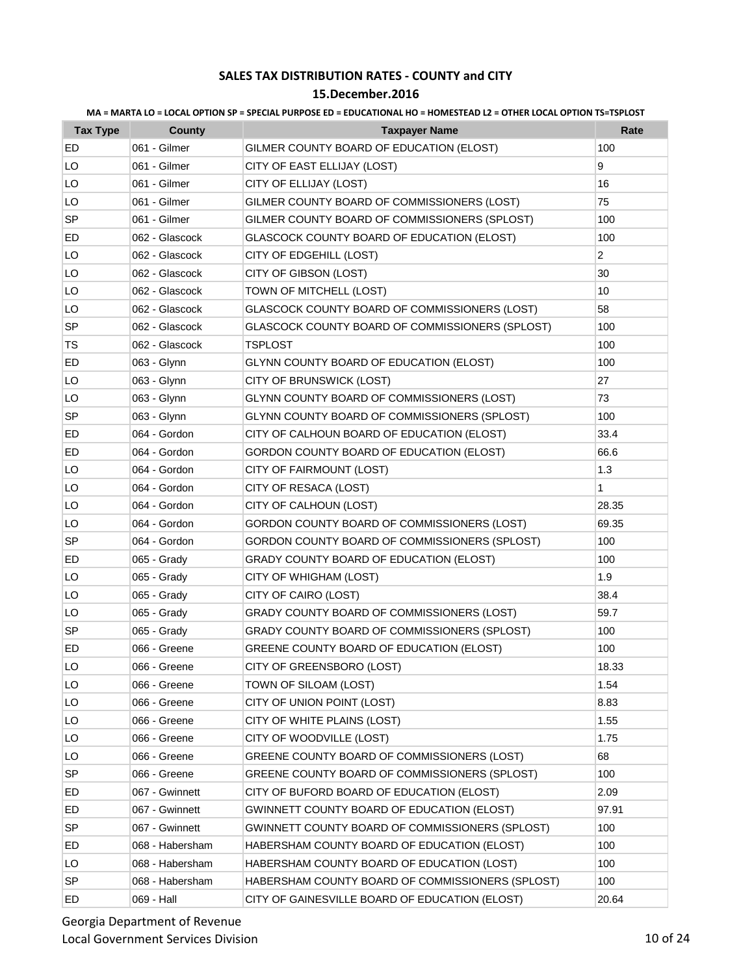| MA = MARTA LO = LOCAL OPTION SP = SPECIAL PURPOSE ED = EDUCATIONAL HO = HOMESTEAD L2 = OTHER LOCAL OPTION TS=TSPLOST |  |  |  |
|----------------------------------------------------------------------------------------------------------------------|--|--|--|
|                                                                                                                      |  |  |  |

| <b>Tax Type</b> | County          | <b>Taxpayer Name</b>                             | Rate           |
|-----------------|-----------------|--------------------------------------------------|----------------|
| ED              | 061 - Gilmer    | GILMER COUNTY BOARD OF EDUCATION (ELOST)         | 100            |
| LO              | 061 - Gilmer    | CITY OF EAST ELLIJAY (LOST)                      | 9              |
| LO              | 061 - Gilmer    | CITY OF ELLIJAY (LOST)                           | 16             |
| LO              | 061 - Gilmer    | GILMER COUNTY BOARD OF COMMISSIONERS (LOST)      | 75             |
| <b>SP</b>       | 061 - Gilmer    | GILMER COUNTY BOARD OF COMMISSIONERS (SPLOST)    | 100            |
| ED              | 062 - Glascock  | GLASCOCK COUNTY BOARD OF EDUCATION (ELOST)       | 100            |
| LO              | 062 - Glascock  | CITY OF EDGEHILL (LOST)                          | $\overline{2}$ |
| LO              | 062 - Glascock  | CITY OF GIBSON (LOST)                            | 30             |
| LO              | 062 - Glascock  | TOWN OF MITCHELL (LOST)                          | 10             |
| LO              | 062 - Glascock  | GLASCOCK COUNTY BOARD OF COMMISSIONERS (LOST)    | 58             |
| <b>SP</b>       | 062 - Glascock  | GLASCOCK COUNTY BOARD OF COMMISSIONERS (SPLOST)  | 100            |
| <b>TS</b>       | 062 - Glascock  | TSPLOST                                          | 100            |
| ED              | 063 - Glynn     | <b>GLYNN COUNTY BOARD OF EDUCATION (ELOST)</b>   | 100            |
| LO              | 063 - Glynn     | CITY OF BRUNSWICK (LOST)                         | 27             |
| LO              | 063 - Glynn     | GLYNN COUNTY BOARD OF COMMISSIONERS (LOST)       | 73             |
| <b>SP</b>       | 063 - Glynn     | GLYNN COUNTY BOARD OF COMMISSIONERS (SPLOST)     | 100            |
| ED              | 064 - Gordon    | CITY OF CALHOUN BOARD OF EDUCATION (ELOST)       | 33.4           |
| ED              | 064 - Gordon    | GORDON COUNTY BOARD OF EDUCATION (ELOST)         | 66.6           |
| LO              | 064 - Gordon    | CITY OF FAIRMOUNT (LOST)                         | 1.3            |
| LO              | 064 - Gordon    | CITY OF RESACA (LOST)                            | 1              |
| LO              | 064 - Gordon    | CITY OF CALHOUN (LOST)                           | 28.35          |
| LO              | 064 - Gordon    | GORDON COUNTY BOARD OF COMMISSIONERS (LOST)      | 69.35          |
| <b>SP</b>       | 064 - Gordon    | GORDON COUNTY BOARD OF COMMISSIONERS (SPLOST)    | 100            |
| ED              | 065 - Grady     | GRADY COUNTY BOARD OF EDUCATION (ELOST)          | 100            |
| LO              | 065 - Grady     | CITY OF WHIGHAM (LOST)                           | 1.9            |
| LO              | 065 - Grady     | CITY OF CAIRO (LOST)                             | 38.4           |
| LO              | 065 - Grady     | GRADY COUNTY BOARD OF COMMISSIONERS (LOST)       | 59.7           |
| <b>SP</b>       | 065 - Grady     | GRADY COUNTY BOARD OF COMMISSIONERS (SPLOST)     | 100            |
| ED              | 066 - Greene    | GREENE COUNTY BOARD OF EDUCATION (ELOST)         | 100            |
| LO              | 066 - Greene    | CITY OF GREENSBORO (LOST)                        | 18.33          |
| LO              | 066 - Greene    | TOWN OF SILOAM (LOST)                            | 1.54           |
| LO              | 066 - Greene    | CITY OF UNION POINT (LOST)                       | 8.83           |
| LO              | 066 - Greene    | CITY OF WHITE PLAINS (LOST)                      | 1.55           |
| LO              | 066 - Greene    | CITY OF WOODVILLE (LOST)                         | 1.75           |
| LO              | 066 - Greene    | GREENE COUNTY BOARD OF COMMISSIONERS (LOST)      | 68             |
| <b>SP</b>       | 066 - Greene    | GREENE COUNTY BOARD OF COMMISSIONERS (SPLOST)    | 100            |
| ED              | 067 - Gwinnett  | CITY OF BUFORD BOARD OF EDUCATION (ELOST)        | 2.09           |
| ED              | 067 - Gwinnett  | GWINNETT COUNTY BOARD OF EDUCATION (ELOST)       | 97.91          |
| SP              | 067 - Gwinnett  | GWINNETT COUNTY BOARD OF COMMISSIONERS (SPLOST)  | 100            |
| ED              | 068 - Habersham | HABERSHAM COUNTY BOARD OF EDUCATION (ELOST)      | 100            |
| LO              | 068 - Habersham | HABERSHAM COUNTY BOARD OF EDUCATION (LOST)       | 100            |
| <b>SP</b>       | 068 - Habersham | HABERSHAM COUNTY BOARD OF COMMISSIONERS (SPLOST) | 100            |
| ED              | 069 - Hall      | CITY OF GAINESVILLE BOARD OF EDUCATION (ELOST)   | 20.64          |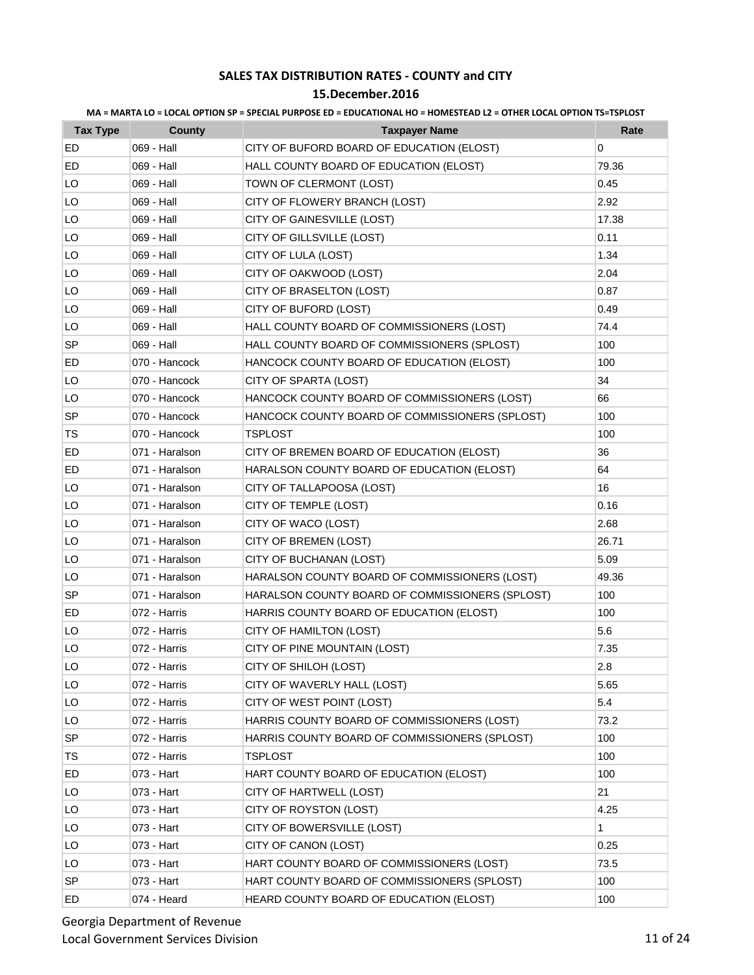| MA = MARTA LO = LOCAL OPTION SP = SPECIAL PURPOSE ED = EDUCATIONAL HO = HOMESTEAD L2 = OTHER LOCAL OPTION TS=TSPLOST |  |  |  |
|----------------------------------------------------------------------------------------------------------------------|--|--|--|
|                                                                                                                      |  |  |  |

| <b>Tax Type</b> | County         | <b>Taxpayer Name</b>                            | Rate         |
|-----------------|----------------|-------------------------------------------------|--------------|
| ED              | 069 - Hall     | CITY OF BUFORD BOARD OF EDUCATION (ELOST)       | 0            |
| ED              | 069 - Hall     | HALL COUNTY BOARD OF EDUCATION (ELOST)          | 79.36        |
| LO              | 069 - Hall     | TOWN OF CLERMONT (LOST)                         | 0.45         |
| LO              | 069 - Hall     | CITY OF FLOWERY BRANCH (LOST)                   | 2.92         |
| LO              | 069 - Hall     | CITY OF GAINESVILLE (LOST)                      | 17.38        |
| LO              | 069 - Hall     | CITY OF GILLSVILLE (LOST)                       | 0.11         |
| LO              | 069 - Hall     | CITY OF LULA (LOST)                             | 1.34         |
| LO              | 069 - Hall     | CITY OF OAKWOOD (LOST)                          | 2.04         |
| LO              | 069 - Hall     | CITY OF BRASELTON (LOST)                        | 0.87         |
| LO              | 069 - Hall     | CITY OF BUFORD (LOST)                           | 0.49         |
| LO              | 069 - Hall     | HALL COUNTY BOARD OF COMMISSIONERS (LOST)       | 74.4         |
| SP              | 069 - Hall     | HALL COUNTY BOARD OF COMMISSIONERS (SPLOST)     | 100          |
| ED              | 070 - Hancock  | HANCOCK COUNTY BOARD OF EDUCATION (ELOST)       | 100          |
| LO              | 070 - Hancock  | CITY OF SPARTA (LOST)                           | 34           |
| LO              | 070 - Hancock  | HANCOCK COUNTY BOARD OF COMMISSIONERS (LOST)    | 66           |
| <b>SP</b>       | 070 - Hancock  | HANCOCK COUNTY BOARD OF COMMISSIONERS (SPLOST)  | 100          |
| TS.             | 070 - Hancock  | <b>TSPLOST</b>                                  | 100          |
| ED              | 071 - Haralson | CITY OF BREMEN BOARD OF EDUCATION (ELOST)       | 36           |
| ED              | 071 - Haralson | HARALSON COUNTY BOARD OF EDUCATION (ELOST)      | 64           |
| LO              | 071 - Haralson | CITY OF TALLAPOOSA (LOST)                       | 16           |
| LO              | 071 - Haralson | CITY OF TEMPLE (LOST)                           | 0.16         |
| LO              | 071 - Haralson | CITY OF WACO (LOST)                             | 2.68         |
| LO              | 071 - Haralson | CITY OF BREMEN (LOST)                           | 26.71        |
| LO              | 071 - Haralson | CITY OF BUCHANAN (LOST)                         | 5.09         |
| LO              | 071 - Haralson | HARALSON COUNTY BOARD OF COMMISSIONERS (LOST)   | 49.36        |
| <b>SP</b>       | 071 - Haralson | HARALSON COUNTY BOARD OF COMMISSIONERS (SPLOST) | 100          |
| ED              | 072 - Harris   | HARRIS COUNTY BOARD OF EDUCATION (ELOST)        | 100          |
| LO              | 072 - Harris   | CITY OF HAMILTON (LOST)                         | 5.6          |
| LO              | 072 - Harris   | CITY OF PINE MOUNTAIN (LOST)                    | 7.35         |
| LO              | 072 - Harris   | CITY OF SHILOH (LOST)                           | 2.8          |
| LO              | 072 - Harris   | CITY OF WAVERLY HALL (LOST)                     | 5.65         |
| LO              | 072 - Harris   | CITY OF WEST POINT (LOST)                       | 5.4          |
| LO              | 072 - Harris   | HARRIS COUNTY BOARD OF COMMISSIONERS (LOST)     | 73.2         |
| SP              | 072 - Harris   | HARRIS COUNTY BOARD OF COMMISSIONERS (SPLOST)   | 100          |
| TS              | 072 - Harris   | <b>TSPLOST</b>                                  | 100          |
| ED              | 073 - Hart     | HART COUNTY BOARD OF EDUCATION (ELOST)          | 100          |
| LO              | 073 - Hart     | CITY OF HARTWELL (LOST)                         | 21           |
| LO              | 073 - Hart     | CITY OF ROYSTON (LOST)                          | 4.25         |
| LO.             | 073 - Hart     | CITY OF BOWERSVILLE (LOST)                      | $\mathbf{1}$ |
| LO              | 073 - Hart     | CITY OF CANON (LOST)                            | 0.25         |
| LO              | 073 - Hart     | HART COUNTY BOARD OF COMMISSIONERS (LOST)       | 73.5         |
| <b>SP</b>       | 073 - Hart     | HART COUNTY BOARD OF COMMISSIONERS (SPLOST)     | 100          |
| ED              | 074 - Heard    | HEARD COUNTY BOARD OF EDUCATION (ELOST)         | 100          |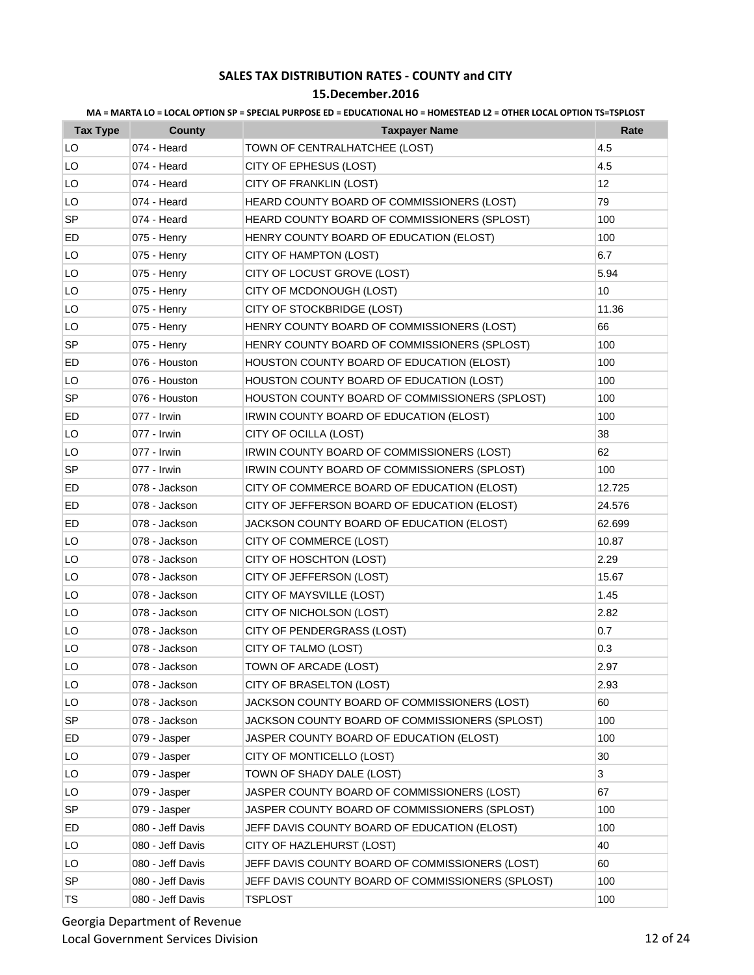| MA = MARTA LO = LOCAL OPTION SP = SPECIAL PURPOSE ED = EDUCATIONAL HO = HOMESTEAD L2 = OTHER LOCAL OPTION TS=TSPLOST |  |  |  |
|----------------------------------------------------------------------------------------------------------------------|--|--|--|
|                                                                                                                      |  |  |  |

| <b>Tax Type</b> | County           | <b>Taxpayer Name</b>                              | Rate   |
|-----------------|------------------|---------------------------------------------------|--------|
| LO              | 074 - Heard      | TOWN OF CENTRALHATCHEE (LOST)                     | 4.5    |
| LO              | 074 - Heard      | CITY OF EPHESUS (LOST)                            | 4.5    |
| LO              | 074 - Heard      | CITY OF FRANKLIN (LOST)                           | 12     |
| LO              | 074 - Heard      | HEARD COUNTY BOARD OF COMMISSIONERS (LOST)        | 79     |
| <b>SP</b>       | 074 - Heard      | HEARD COUNTY BOARD OF COMMISSIONERS (SPLOST)      | 100    |
| ED              | 075 - Henry      | HENRY COUNTY BOARD OF EDUCATION (ELOST)           | 100    |
| LO              | 075 - Henry      | CITY OF HAMPTON (LOST)                            | 6.7    |
| LO              | 075 - Henry      | CITY OF LOCUST GROVE (LOST)                       | 5.94   |
| LO              | 075 - Henry      | CITY OF MCDONOUGH (LOST)                          | 10     |
| LO              | 075 - Henry      | CITY OF STOCKBRIDGE (LOST)                        | 11.36  |
| LO              | 075 - Henry      | HENRY COUNTY BOARD OF COMMISSIONERS (LOST)        | 66     |
| <b>SP</b>       | 075 - Henry      | HENRY COUNTY BOARD OF COMMISSIONERS (SPLOST)      | 100    |
| ED              | 076 - Houston    | HOUSTON COUNTY BOARD OF EDUCATION (ELOST)         | 100    |
| LO              | 076 - Houston    | HOUSTON COUNTY BOARD OF EDUCATION (LOST)          | 100    |
| SP              | 076 - Houston    | HOUSTON COUNTY BOARD OF COMMISSIONERS (SPLOST)    | 100    |
| ED              | 077 - Irwin      | IRWIN COUNTY BOARD OF EDUCATION (ELOST)           | 100    |
| LO              | 077 - Irwin      | CITY OF OCILLA (LOST)                             | 38     |
| LO              | 077 - Irwin      | IRWIN COUNTY BOARD OF COMMISSIONERS (LOST)        | 62     |
| <b>SP</b>       | 077 - Irwin      | IRWIN COUNTY BOARD OF COMMISSIONERS (SPLOST)      | 100    |
| ED              | 078 - Jackson    | CITY OF COMMERCE BOARD OF EDUCATION (ELOST)       | 12.725 |
| ED              | 078 - Jackson    | CITY OF JEFFERSON BOARD OF EDUCATION (ELOST)      | 24.576 |
| ED              | 078 - Jackson    | JACKSON COUNTY BOARD OF EDUCATION (ELOST)         | 62.699 |
| LO              | 078 - Jackson    | CITY OF COMMERCE (LOST)                           | 10.87  |
| LO              | 078 - Jackson    | CITY OF HOSCHTON (LOST)                           | 2.29   |
| LO              | 078 - Jackson    | CITY OF JEFFERSON (LOST)                          | 15.67  |
| LO              | 078 - Jackson    | CITY OF MAYSVILLE (LOST)                          | 1.45   |
| LO              | 078 - Jackson    | CITY OF NICHOLSON (LOST)                          | 2.82   |
| LO              | 078 - Jackson    | CITY OF PENDERGRASS (LOST)                        | 0.7    |
| LO              | 078 - Jackson    | CITY OF TALMO (LOST)                              | 0.3    |
| LO              | 078 - Jackson    | TOWN OF ARCADE (LOST)                             | 2.97   |
| LO              | 078 - Jackson    | CITY OF BRASELTON (LOST)                          | 2.93   |
| LO              | 078 - Jackson    | JACKSON COUNTY BOARD OF COMMISSIONERS (LOST)      | 60     |
| <b>SP</b>       | 078 - Jackson    | JACKSON COUNTY BOARD OF COMMISSIONERS (SPLOST)    | 100    |
| ED              | 079 - Jasper     | JASPER COUNTY BOARD OF EDUCATION (ELOST)          | 100    |
| LO              | 079 - Jasper     | CITY OF MONTICELLO (LOST)                         | 30     |
| LO              | 079 - Jasper     | TOWN OF SHADY DALE (LOST)                         | 3      |
| LO              | 079 - Jasper     | JASPER COUNTY BOARD OF COMMISSIONERS (LOST)       | 67     |
| <b>SP</b>       | 079 - Jasper     | JASPER COUNTY BOARD OF COMMISSIONERS (SPLOST)     | 100    |
| ED              | 080 - Jeff Davis | JEFF DAVIS COUNTY BOARD OF EDUCATION (ELOST)      | 100    |
| LO              | 080 - Jeff Davis | CITY OF HAZLEHURST (LOST)                         | 40     |
| LO              | 080 - Jeff Davis | JEFF DAVIS COUNTY BOARD OF COMMISSIONERS (LOST)   | 60     |
| SP              | 080 - Jeff Davis | JEFF DAVIS COUNTY BOARD OF COMMISSIONERS (SPLOST) | 100    |
| TS              | 080 - Jeff Davis | <b>TSPLOST</b>                                    | 100    |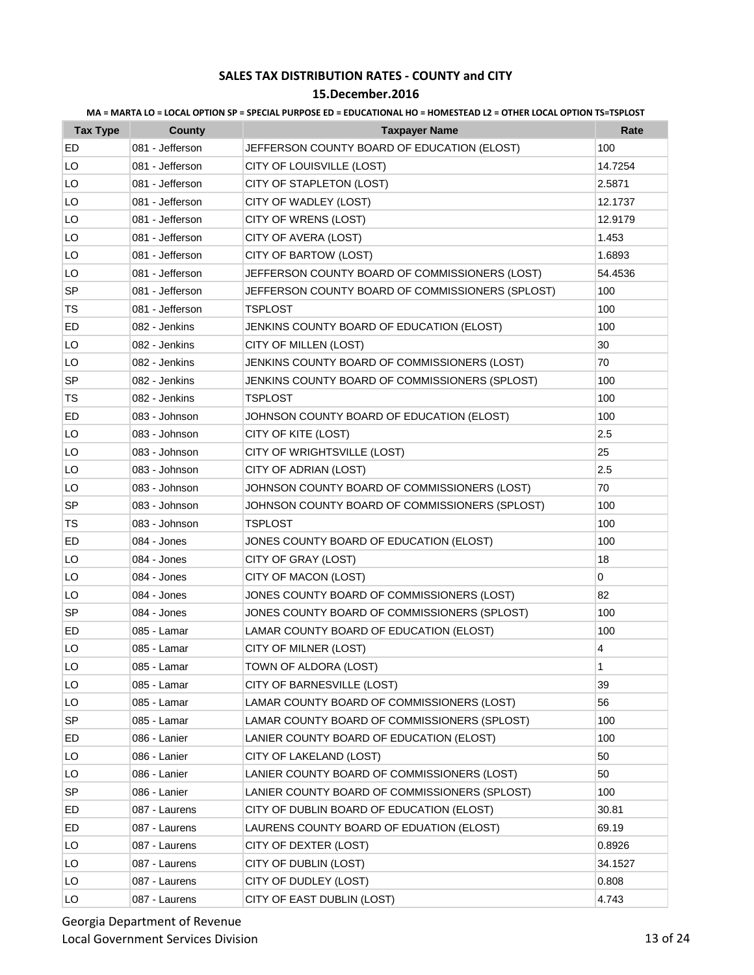| <b>Tax Type</b> | County          | <b>Taxpayer Name</b>                             | Rate    |
|-----------------|-----------------|--------------------------------------------------|---------|
| ED              | 081 - Jefferson | JEFFERSON COUNTY BOARD OF EDUCATION (ELOST)      | 100     |
| LO              | 081 - Jefferson | CITY OF LOUISVILLE (LOST)                        | 14.7254 |
| LO              | 081 - Jefferson | CITY OF STAPLETON (LOST)                         | 2.5871  |
| LO              | 081 - Jefferson | CITY OF WADLEY (LOST)                            | 12.1737 |
| LO              | 081 - Jefferson | CITY OF WRENS (LOST)                             | 12.9179 |
| LO              | 081 - Jefferson | CITY OF AVERA (LOST)                             | 1.453   |
| LO              | 081 - Jefferson | CITY OF BARTOW (LOST)                            | 1.6893  |
| LO              | 081 - Jefferson | JEFFERSON COUNTY BOARD OF COMMISSIONERS (LOST)   | 54.4536 |
| <b>SP</b>       | 081 - Jefferson | JEFFERSON COUNTY BOARD OF COMMISSIONERS (SPLOST) | 100     |
| TS              | 081 - Jefferson | <b>TSPLOST</b>                                   | 100     |
| ED              | 082 - Jenkins   | JENKINS COUNTY BOARD OF EDUCATION (ELOST)        | 100     |
| LO              | 082 - Jenkins   | CITY OF MILLEN (LOST)                            | 30      |
| LO              | 082 - Jenkins   | JENKINS COUNTY BOARD OF COMMISSIONERS (LOST)     | 70      |
| <b>SP</b>       | 082 - Jenkins   | JENKINS COUNTY BOARD OF COMMISSIONERS (SPLOST)   | 100     |
| TS              | 082 - Jenkins   | <b>TSPLOST</b>                                   | 100     |
| ED              | 083 - Johnson   | JOHNSON COUNTY BOARD OF EDUCATION (ELOST)        | 100     |
| LO              | 083 - Johnson   | CITY OF KITE (LOST)                              | 2.5     |
| LO              | 083 - Johnson   | CITY OF WRIGHTSVILLE (LOST)                      | 25      |
| LO              | 083 - Johnson   | CITY OF ADRIAN (LOST)                            | 2.5     |
| LO              | 083 - Johnson   | JOHNSON COUNTY BOARD OF COMMISSIONERS (LOST)     | 70      |
| <b>SP</b>       | 083 - Johnson   | JOHNSON COUNTY BOARD OF COMMISSIONERS (SPLOST)   | 100     |
| TS              | 083 - Johnson   | TSPLOST                                          | 100     |
| ED              | 084 - Jones     | JONES COUNTY BOARD OF EDUCATION (ELOST)          | 100     |
| LO              | 084 - Jones     | CITY OF GRAY (LOST)                              | 18      |
| LO              | 084 - Jones     | CITY OF MACON (LOST)                             | 0       |
| LO              | 084 - Jones     | JONES COUNTY BOARD OF COMMISSIONERS (LOST)       | 82      |
| <b>SP</b>       | 084 - Jones     | JONES COUNTY BOARD OF COMMISSIONERS (SPLOST)     | 100     |
| ED              | 085 - Lamar     | LAMAR COUNTY BOARD OF EDUCATION (ELOST)          | 100     |
| LO              | 085 - Lamar     | CITY OF MILNER (LOST)                            | 4       |
| LO              | 085 - Lamar     | TOWN OF ALDORA (LOST)                            | 1       |
| LO              | 085 - Lamar     | CITY OF BARNESVILLE (LOST)                       | 39      |
| LO              | 085 - Lamar     | LAMAR COUNTY BOARD OF COMMISSIONERS (LOST)       | 56      |
| <b>SP</b>       | 085 - Lamar     | LAMAR COUNTY BOARD OF COMMISSIONERS (SPLOST)     | 100     |
| ED              | 086 - Lanier    | LANIER COUNTY BOARD OF EDUCATION (ELOST)         | 100     |
| LO              | 086 - Lanier    | CITY OF LAKELAND (LOST)                          | 50      |
| LO              | 086 - Lanier    | LANIER COUNTY BOARD OF COMMISSIONERS (LOST)      | 50      |
| SP              | 086 - Lanier    | LANIER COUNTY BOARD OF COMMISSIONERS (SPLOST)    | 100     |
| ED              | 087 - Laurens   | CITY OF DUBLIN BOARD OF EDUCATION (ELOST)        | 30.81   |
| ED              | 087 - Laurens   | LAURENS COUNTY BOARD OF EDUATION (ELOST)         | 69.19   |
| LO              | 087 - Laurens   | CITY OF DEXTER (LOST)                            | 0.8926  |
| LO              | 087 - Laurens   | CITY OF DUBLIN (LOST)                            | 34.1527 |
| LO              | 087 - Laurens   | CITY OF DUDLEY (LOST)                            | 0.808   |
| LO              | 087 - Laurens   | CITY OF EAST DUBLIN (LOST)                       | 4.743   |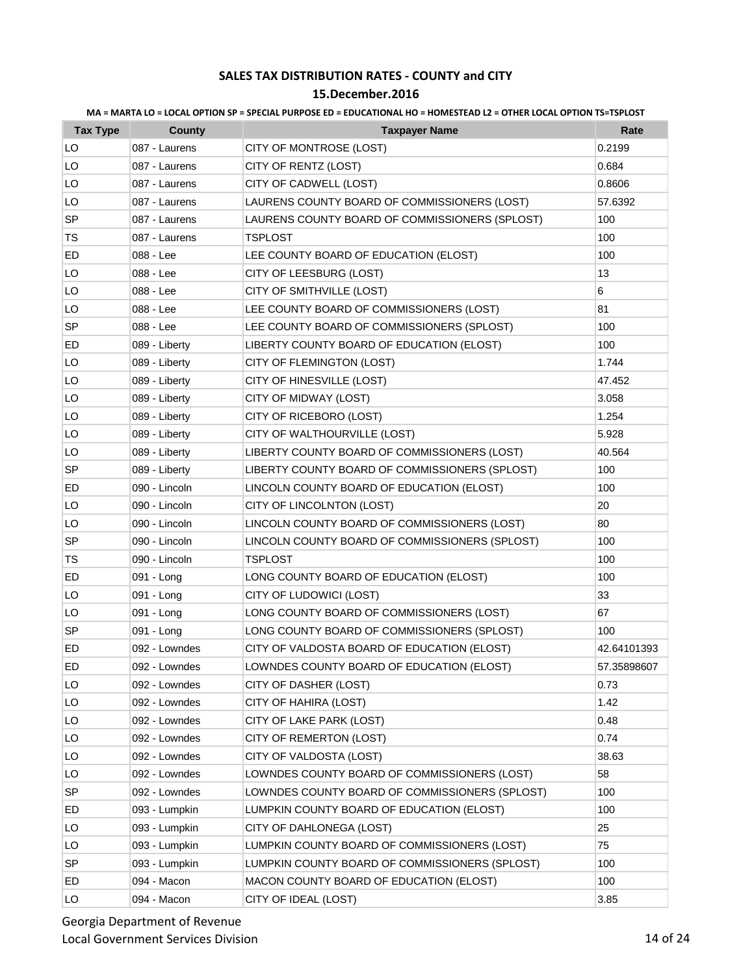### **15.December.2016**

| <b>Tax Type</b> | <b>County</b> | <b>Taxpayer Name</b>                           | Rate        |
|-----------------|---------------|------------------------------------------------|-------------|
| LO              | 087 - Laurens | CITY OF MONTROSE (LOST)                        | 0.2199      |
| LO              | 087 - Laurens | CITY OF RENTZ (LOST)                           | 0.684       |
| LO              | 087 - Laurens | CITY OF CADWELL (LOST)                         | 0.8606      |
| LO              | 087 - Laurens | LAURENS COUNTY BOARD OF COMMISSIONERS (LOST)   | 57.6392     |
| <b>SP</b>       | 087 - Laurens | LAURENS COUNTY BOARD OF COMMISSIONERS (SPLOST) | 100         |
| TS              | 087 - Laurens | TSPLOST                                        | 100         |
| ED              | 088 - Lee     | LEE COUNTY BOARD OF EDUCATION (ELOST)          | 100         |
| LO              | 088 - Lee     | CITY OF LEESBURG (LOST)                        | 13          |
| LO              | 088 - Lee     | CITY OF SMITHVILLE (LOST)                      | 6           |
| LO              | 088 - Lee     | LEE COUNTY BOARD OF COMMISSIONERS (LOST)       | 81          |
| <b>SP</b>       | 088 - Lee     | LEE COUNTY BOARD OF COMMISSIONERS (SPLOST)     | 100         |
| ED              | 089 - Liberty | LIBERTY COUNTY BOARD OF EDUCATION (ELOST)      | 100         |
| LO              | 089 - Liberty | CITY OF FLEMINGTON (LOST)                      | 1.744       |
| LO              | 089 - Liberty | CITY OF HINESVILLE (LOST)                      | 47.452      |
| LO              | 089 - Liberty | CITY OF MIDWAY (LOST)                          | 3.058       |
| LO              | 089 - Liberty | CITY OF RICEBORO (LOST)                        | 1.254       |
| LO              | 089 - Liberty | CITY OF WALTHOURVILLE (LOST)                   | 5.928       |
| LO              | 089 - Liberty | LIBERTY COUNTY BOARD OF COMMISSIONERS (LOST)   | 40.564      |
| SP              | 089 - Liberty | LIBERTY COUNTY BOARD OF COMMISSIONERS (SPLOST) | 100         |
| ED              | 090 - Lincoln | LINCOLN COUNTY BOARD OF EDUCATION (ELOST)      | 100         |
| LO              | 090 - Lincoln | CITY OF LINCOLNTON (LOST)                      | 20          |
| LO              | 090 - Lincoln | LINCOLN COUNTY BOARD OF COMMISSIONERS (LOST)   | 80          |
| <b>SP</b>       | 090 - Lincoln | LINCOLN COUNTY BOARD OF COMMISSIONERS (SPLOST) | 100         |
| TS              | 090 - Lincoln | <b>TSPLOST</b>                                 | 100         |
| ED              | 091 - Long    | LONG COUNTY BOARD OF EDUCATION (ELOST)         | 100         |
| LO              | 091 - Long    | CITY OF LUDOWICI (LOST)                        | 33          |
| LO              | 091 - Long    | LONG COUNTY BOARD OF COMMISSIONERS (LOST)      | 67          |
| <b>SP</b>       | 091 - Long    | LONG COUNTY BOARD OF COMMISSIONERS (SPLOST)    | 100         |
| ED              | 092 - Lowndes | CITY OF VALDOSTA BOARD OF EDUCATION (ELOST)    | 42.64101393 |
| ED              | 092 - Lowndes | LOWNDES COUNTY BOARD OF EDUCATION (ELOST)      | 57.35898607 |
| LO              | 092 - Lowndes | CITY OF DASHER (LOST)                          | 0.73        |
| LO              | 092 - Lowndes | CITY OF HAHIRA (LOST)                          | 1.42        |
| LO              | 092 - Lowndes | CITY OF LAKE PARK (LOST)                       | 0.48        |
| LO              | 092 - Lowndes | CITY OF REMERTON (LOST)                        | 0.74        |
| LO              | 092 - Lowndes | CITY OF VALDOSTA (LOST)                        | 38.63       |
| LO              | 092 - Lowndes | LOWNDES COUNTY BOARD OF COMMISSIONERS (LOST)   | 58          |
| SP              | 092 - Lowndes | LOWNDES COUNTY BOARD OF COMMISSIONERS (SPLOST) | 100         |
| ED              | 093 - Lumpkin | LUMPKIN COUNTY BOARD OF EDUCATION (ELOST)      | 100         |
| LO              | 093 - Lumpkin | CITY OF DAHLONEGA (LOST)                       | 25          |
| LO              | 093 - Lumpkin | LUMPKIN COUNTY BOARD OF COMMISSIONERS (LOST)   | 75          |
| SP              | 093 - Lumpkin | LUMPKIN COUNTY BOARD OF COMMISSIONERS (SPLOST) | 100         |
| ED              | 094 - Macon   | MACON COUNTY BOARD OF EDUCATION (ELOST)        | 100         |
| LO              | 094 - Macon   | CITY OF IDEAL (LOST)                           | 3.85        |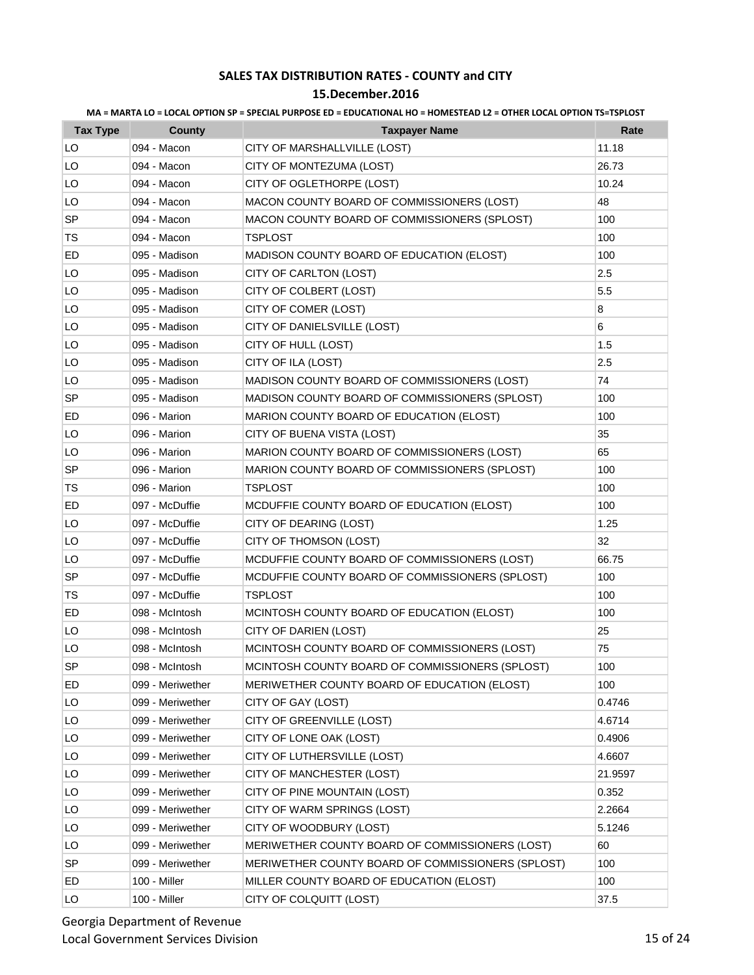| MA = MARTA LO = LOCAL OPTION SP = SPECIAL PURPOSE ED = EDUCATIONAL HO = HOMESTEAD L2 = OTHER LOCAL OPTION TS=TSPLOST |  |  |  |
|----------------------------------------------------------------------------------------------------------------------|--|--|--|
|                                                                                                                      |  |  |  |

| <b>Tax Type</b> | <b>County</b>    | <b>Taxpayer Name</b>                              | Rate    |
|-----------------|------------------|---------------------------------------------------|---------|
| LO              | 094 - Macon      | CITY OF MARSHALLVILLE (LOST)                      | 11.18   |
| LO              | 094 - Macon      | CITY OF MONTEZUMA (LOST)                          | 26.73   |
| LO              | 094 - Macon      | CITY OF OGLETHORPE (LOST)                         | 10.24   |
| LO              | 094 - Macon      | MACON COUNTY BOARD OF COMMISSIONERS (LOST)        | 48      |
| <b>SP</b>       | 094 - Macon      | MACON COUNTY BOARD OF COMMISSIONERS (SPLOST)      | 100     |
| TS              | 094 - Macon      | TSPLOST                                           | 100     |
| ED              | 095 - Madison    | MADISON COUNTY BOARD OF EDUCATION (ELOST)         | 100     |
| LO              | 095 - Madison    | CITY OF CARLTON (LOST)                            | 2.5     |
| LO              | 095 - Madison    | CITY OF COLBERT (LOST)                            | 5.5     |
| LO              | 095 - Madison    | CITY OF COMER (LOST)                              | 8       |
| LO              | 095 - Madison    | CITY OF DANIELSVILLE (LOST)                       | 6       |
| LO              | 095 - Madison    | CITY OF HULL (LOST)                               | 1.5     |
| LO              | 095 - Madison    | CITY OF ILA (LOST)                                | 2.5     |
| LO              | 095 - Madison    | MADISON COUNTY BOARD OF COMMISSIONERS (LOST)      | 74      |
| SP              | 095 - Madison    | MADISON COUNTY BOARD OF COMMISSIONERS (SPLOST)    | 100     |
| ED              | 096 - Marion     | MARION COUNTY BOARD OF EDUCATION (ELOST)          | 100     |
| LO              | 096 - Marion     | CITY OF BUENA VISTA (LOST)                        | 35      |
| LO              | 096 - Marion     | MARION COUNTY BOARD OF COMMISSIONERS (LOST)       | 65      |
| <b>SP</b>       | 096 - Marion     | MARION COUNTY BOARD OF COMMISSIONERS (SPLOST)     | 100     |
| TS              | 096 - Marion     | <b>TSPLOST</b>                                    | 100     |
| ED              | 097 - McDuffie   | MCDUFFIE COUNTY BOARD OF EDUCATION (ELOST)        | 100     |
| LO              | 097 - McDuffie   | CITY OF DEARING (LOST)                            | 1.25    |
| LO              | 097 - McDuffie   | CITY OF THOMSON (LOST)                            | 32      |
| LO              | 097 - McDuffie   | MCDUFFIE COUNTY BOARD OF COMMISSIONERS (LOST)     | 66.75   |
| SP              | 097 - McDuffie   | MCDUFFIE COUNTY BOARD OF COMMISSIONERS (SPLOST)   | 100     |
| TS              | 097 - McDuffie   | <b>TSPLOST</b>                                    | 100     |
| ED              | 098 - McIntosh   | MCINTOSH COUNTY BOARD OF EDUCATION (ELOST)        | 100     |
| LO              | 098 - McIntosh   | CITY OF DARIEN (LOST)                             | 25      |
| LO              | 098 - McIntosh   | MCINTOSH COUNTY BOARD OF COMMISSIONERS (LOST)     | 75      |
| <b>SP</b>       | 098 - McIntosh   | MCINTOSH COUNTY BOARD OF COMMISSIONERS (SPLOST)   | 100     |
| ED              | 099 - Meriwether | MERIWETHER COUNTY BOARD OF EDUCATION (ELOST)      | 100     |
| LO              | 099 - Meriwether | CITY OF GAY (LOST)                                | 0.4746  |
| LO              | 099 - Meriwether | CITY OF GREENVILLE (LOST)                         | 4.6714  |
| LO              | 099 - Meriwether | CITY OF LONE OAK (LOST)                           | 0.4906  |
| LO              | 099 - Meriwether | CITY OF LUTHERSVILLE (LOST)                       | 4.6607  |
| LO              | 099 - Meriwether | CITY OF MANCHESTER (LOST)                         | 21.9597 |
| LO              | 099 - Meriwether | CITY OF PINE MOUNTAIN (LOST)                      | 0.352   |
| LO              | 099 - Meriwether | CITY OF WARM SPRINGS (LOST)                       | 2.2664  |
| LO              | 099 - Meriwether | CITY OF WOODBURY (LOST)                           | 5.1246  |
| LO              | 099 - Meriwether | MERIWETHER COUNTY BOARD OF COMMISSIONERS (LOST)   | 60      |
| <b>SP</b>       | 099 - Meriwether | MERIWETHER COUNTY BOARD OF COMMISSIONERS (SPLOST) | 100     |
| ED              | 100 - Miller     | MILLER COUNTY BOARD OF EDUCATION (ELOST)          | 100     |
| LO              | 100 - Miller     | CITY OF COLQUITT (LOST)                           | 37.5    |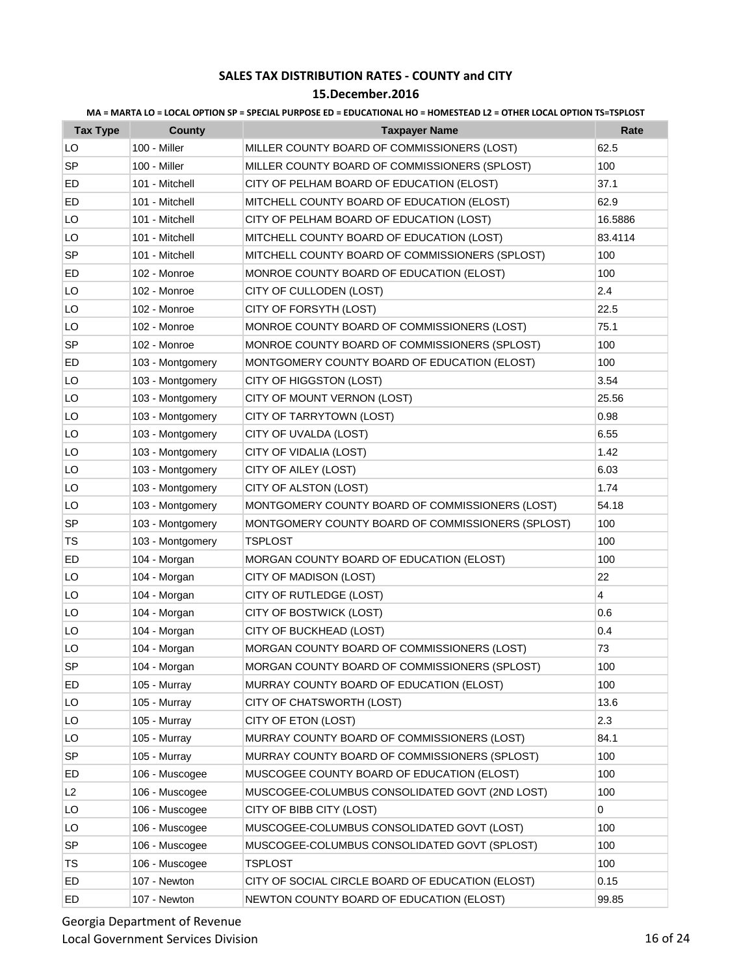### **15.December.2016**

| <b>Tax Type</b> | <b>County</b>    | <b>Taxpayer Name</b>                              | Rate           |
|-----------------|------------------|---------------------------------------------------|----------------|
| LO              | 100 - Miller     | MILLER COUNTY BOARD OF COMMISSIONERS (LOST)       | 62.5           |
| SP              | 100 - Miller     | MILLER COUNTY BOARD OF COMMISSIONERS (SPLOST)     | 100            |
| ED              | 101 - Mitchell   | CITY OF PELHAM BOARD OF EDUCATION (ELOST)         | 37.1           |
| ED              | 101 - Mitchell   | MITCHELL COUNTY BOARD OF EDUCATION (ELOST)        | 62.9           |
| LO              | 101 - Mitchell   | CITY OF PELHAM BOARD OF EDUCATION (LOST)          | 16.5886        |
| LO              | 101 - Mitchell   | MITCHELL COUNTY BOARD OF EDUCATION (LOST)         | 83.4114        |
| <b>SP</b>       | 101 - Mitchell   | MITCHELL COUNTY BOARD OF COMMISSIONERS (SPLOST)   | 100            |
| ED              | 102 - Monroe     | MONROE COUNTY BOARD OF EDUCATION (ELOST)          | 100            |
| LO              | 102 - Monroe     | CITY OF CULLODEN (LOST)                           | 2.4            |
| LO              | 102 - Monroe     | CITY OF FORSYTH (LOST)                            | 22.5           |
| LO              | 102 - Monroe     | MONROE COUNTY BOARD OF COMMISSIONERS (LOST)       | 75.1           |
| SP              | 102 - Monroe     | MONROE COUNTY BOARD OF COMMISSIONERS (SPLOST)     | 100            |
| ED              | 103 - Montgomery | MONTGOMERY COUNTY BOARD OF EDUCATION (ELOST)      | 100            |
| LO              | 103 - Montgomery | CITY OF HIGGSTON (LOST)                           | 3.54           |
| LO              | 103 - Montgomery | CITY OF MOUNT VERNON (LOST)                       | 25.56          |
| LO              | 103 - Montgomery | CITY OF TARRYTOWN (LOST)                          | 0.98           |
| LO              | 103 - Montgomery | CITY OF UVALDA (LOST)                             | 6.55           |
| LO              | 103 - Montgomery | CITY OF VIDALIA (LOST)                            | 1.42           |
| LO              | 103 - Montgomery | CITY OF AILEY (LOST)                              | 6.03           |
| LO              | 103 - Montgomery | CITY OF ALSTON (LOST)                             | 1.74           |
| LO              | 103 - Montgomery | MONTGOMERY COUNTY BOARD OF COMMISSIONERS (LOST)   | 54.18          |
| SP              | 103 - Montgomery | MONTGOMERY COUNTY BOARD OF COMMISSIONERS (SPLOST) | 100            |
| TS              | 103 - Montgomery | <b>TSPLOST</b>                                    | 100            |
| ED              | 104 - Morgan     | MORGAN COUNTY BOARD OF EDUCATION (ELOST)          | 100            |
| LO              | 104 - Morgan     | CITY OF MADISON (LOST)                            | 22             |
| LO              | 104 - Morgan     | CITY OF RUTLEDGE (LOST)                           | $\overline{4}$ |
| LO              | 104 - Morgan     | CITY OF BOSTWICK (LOST)                           | 0.6            |
| LO              | 104 - Morgan     | CITY OF BUCKHEAD (LOST)                           | 0.4            |
| LO              | 104 - Morgan     | MORGAN COUNTY BOARD OF COMMISSIONERS (LOST)       | 73             |
| SP              | 104 - Morgan     | MORGAN COUNTY BOARD OF COMMISSIONERS (SPLOST)     | 100            |
| ED              | 105 - Murray     | MURRAY COUNTY BOARD OF EDUCATION (ELOST)          | 100            |
| LO              | 105 - Murray     | CITY OF CHATSWORTH (LOST)                         | 13.6           |
| LO              | 105 - Murray     | CITY OF ETON (LOST)                               | 2.3            |
| LO              | 105 - Murray     | MURRAY COUNTY BOARD OF COMMISSIONERS (LOST)       | 84.1           |
| SP              | 105 - Murray     | MURRAY COUNTY BOARD OF COMMISSIONERS (SPLOST)     | 100            |
| ED              | 106 - Muscogee   | MUSCOGEE COUNTY BOARD OF EDUCATION (ELOST)        | 100            |
| L <sub>2</sub>  | 106 - Muscogee   | MUSCOGEE-COLUMBUS CONSOLIDATED GOVT (2ND LOST)    | 100            |
| LO              | 106 - Muscogee   | CITY OF BIBB CITY (LOST)                          | 0              |
| LO              | 106 - Muscogee   | MUSCOGEE-COLUMBUS CONSOLIDATED GOVT (LOST)        | 100            |
| SP              | 106 - Muscogee   | MUSCOGEE-COLUMBUS CONSOLIDATED GOVT (SPLOST)      | 100            |
| TS              | 106 - Muscogee   | <b>TSPLOST</b>                                    | 100            |
| ED              | 107 - Newton     | CITY OF SOCIAL CIRCLE BOARD OF EDUCATION (ELOST)  | 0.15           |
| ED              | 107 - Newton     | NEWTON COUNTY BOARD OF EDUCATION (ELOST)          | 99.85          |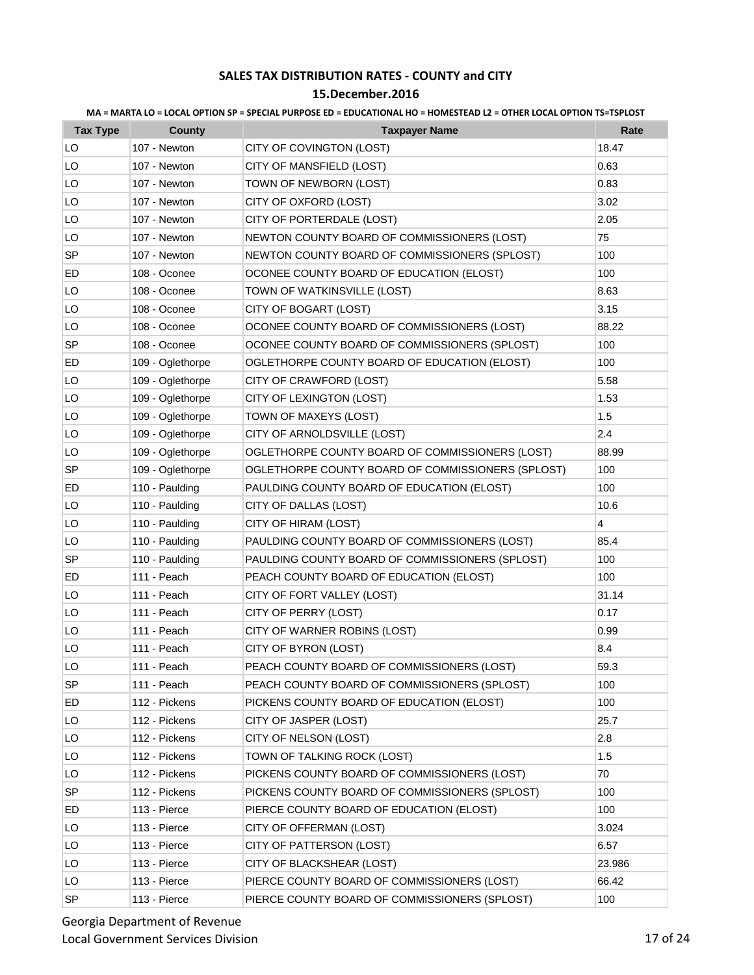### **15.December.2016**

| <b>Tax Type</b> | County           | <b>Taxpayer Name</b>                              | Rate           |
|-----------------|------------------|---------------------------------------------------|----------------|
| LO              | 107 - Newton     | CITY OF COVINGTON (LOST)                          | 18.47          |
| LO              | 107 - Newton     | CITY OF MANSFIELD (LOST)                          | 0.63           |
| LO              | 107 - Newton     | TOWN OF NEWBORN (LOST)                            | 0.83           |
| LO              | 107 - Newton     | CITY OF OXFORD (LOST)                             | 3.02           |
| LO              | 107 - Newton     | CITY OF PORTERDALE (LOST)                         | 2.05           |
| LO              | 107 - Newton     | NEWTON COUNTY BOARD OF COMMISSIONERS (LOST)       | 75             |
| SP              | 107 - Newton     | NEWTON COUNTY BOARD OF COMMISSIONERS (SPLOST)     | 100            |
| ED              | 108 - Oconee     | OCONEE COUNTY BOARD OF EDUCATION (ELOST)          | 100            |
| LO              | 108 - Oconee     | TOWN OF WATKINSVILLE (LOST)                       | 8.63           |
| LO              | 108 - Oconee     | CITY OF BOGART (LOST)                             | 3.15           |
| LO              | 108 - Oconee     | OCONEE COUNTY BOARD OF COMMISSIONERS (LOST)       | 88.22          |
| SP              | 108 - Oconee     | OCONEE COUNTY BOARD OF COMMISSIONERS (SPLOST)     | 100            |
| ED              | 109 - Oglethorpe | OGLETHORPE COUNTY BOARD OF EDUCATION (ELOST)      | 100            |
| LO              | 109 - Oglethorpe | CITY OF CRAWFORD (LOST)                           | 5.58           |
| LO              | 109 - Oglethorpe | CITY OF LEXINGTON (LOST)                          | 1.53           |
| LO              | 109 - Oglethorpe | TOWN OF MAXEYS (LOST)                             | 1.5            |
| LO              | 109 - Oglethorpe | CITY OF ARNOLDSVILLE (LOST)                       | 2.4            |
| LO              | 109 - Oglethorpe | OGLETHORPE COUNTY BOARD OF COMMISSIONERS (LOST)   | 88.99          |
| SP              | 109 - Oglethorpe | OGLETHORPE COUNTY BOARD OF COMMISSIONERS (SPLOST) | 100            |
| ED              | 110 - Paulding   | PAULDING COUNTY BOARD OF EDUCATION (ELOST)        | 100            |
| LO              | 110 - Paulding   | CITY OF DALLAS (LOST)                             | 10.6           |
| LO              | 110 - Paulding   | CITY OF HIRAM (LOST)                              | $\overline{4}$ |
| LO              | 110 - Paulding   | PAULDING COUNTY BOARD OF COMMISSIONERS (LOST)     | 85.4           |
| <b>SP</b>       | 110 - Paulding   | PAULDING COUNTY BOARD OF COMMISSIONERS (SPLOST)   | 100            |
| ED              | 111 - Peach      | PEACH COUNTY BOARD OF EDUCATION (ELOST)           | 100            |
| LO              | 111 - Peach      | CITY OF FORT VALLEY (LOST)                        | 31.14          |
| LO              | 111 - Peach      | CITY OF PERRY (LOST)                              | 0.17           |
| LO              | 111 - Peach      | CITY OF WARNER ROBINS (LOST)                      | 0.99           |
| LO              | 111 - Peach      | CITY OF BYRON (LOST)                              | 8.4            |
| LO              | 111 - Peach      | PEACH COUNTY BOARD OF COMMISSIONERS (LOST)        | 59.3           |
| SP              | 111 - Peach      | PEACH COUNTY BOARD OF COMMISSIONERS (SPLOST)      | 100            |
| ED              | 112 - Pickens    | PICKENS COUNTY BOARD OF EDUCATION (ELOST)         | 100            |
| LO              | 112 - Pickens    | CITY OF JASPER (LOST)                             | 25.7           |
| LO              | 112 - Pickens    | CITY OF NELSON (LOST)                             | 2.8            |
| LO              | 112 - Pickens    | TOWN OF TALKING ROCK (LOST)                       | 1.5            |
| LO              | 112 - Pickens    | PICKENS COUNTY BOARD OF COMMISSIONERS (LOST)      | 70             |
| SP              | 112 - Pickens    | PICKENS COUNTY BOARD OF COMMISSIONERS (SPLOST)    | 100            |
| ED              | 113 - Pierce     | PIERCE COUNTY BOARD OF EDUCATION (ELOST)          | 100            |
| LO              | 113 - Pierce     | CITY OF OFFERMAN (LOST)                           | 3.024          |
| LO              | 113 - Pierce     | CITY OF PATTERSON (LOST)                          | 6.57           |
| LO              | 113 - Pierce     | CITY OF BLACKSHEAR (LOST)                         | 23.986         |
| LO              | 113 - Pierce     | PIERCE COUNTY BOARD OF COMMISSIONERS (LOST)       | 66.42          |
| <b>SP</b>       | 113 - Pierce     | PIERCE COUNTY BOARD OF COMMISSIONERS (SPLOST)     | 100            |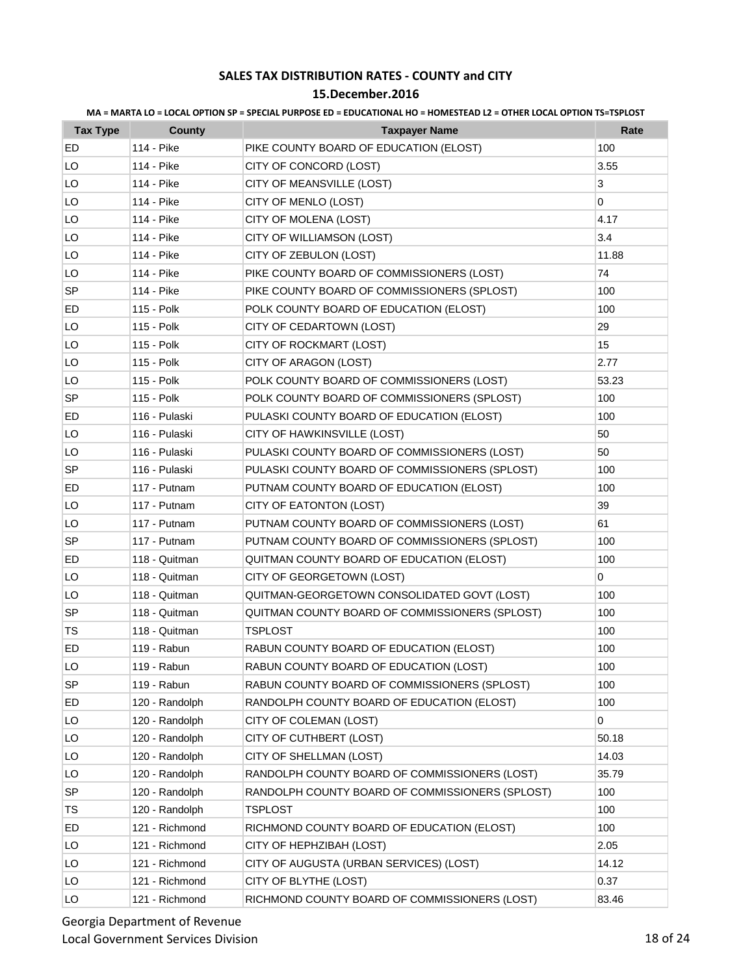|  |  | MA = MARTA LO = LOCAL OPTION SP = SPECIAL PURPOSE ED = EDUCATIONAL HO = HOMESTEAD L2 = OTHER LOCAL OPTION TS=TSPLOST |  |  |
|--|--|----------------------------------------------------------------------------------------------------------------------|--|--|
|--|--|----------------------------------------------------------------------------------------------------------------------|--|--|

| <b>Tax Type</b> | <b>County</b>  | <b>Taxpayer Name</b>                            | Rate  |
|-----------------|----------------|-------------------------------------------------|-------|
| ED              | 114 - Pike     | PIKE COUNTY BOARD OF EDUCATION (ELOST)          | 100   |
| LO              | 114 - Pike     | CITY OF CONCORD (LOST)                          | 3.55  |
| LO              | 114 - Pike     | CITY OF MEANSVILLE (LOST)                       | 3     |
| LO              | 114 - Pike     | CITY OF MENLO (LOST)                            | 0     |
| LO              | 114 - Pike     | CITY OF MOLENA (LOST)                           | 4.17  |
| LO              | 114 - Pike     | CITY OF WILLIAMSON (LOST)                       | 3.4   |
| LO              | 114 - Pike     | CITY OF ZEBULON (LOST)                          | 11.88 |
| LO              | 114 - Pike     | PIKE COUNTY BOARD OF COMMISSIONERS (LOST)       | 74    |
| SP              | 114 - Pike     | PIKE COUNTY BOARD OF COMMISSIONERS (SPLOST)     | 100   |
| ED              | 115 - Polk     | POLK COUNTY BOARD OF EDUCATION (ELOST)          | 100   |
| LO              | 115 - Polk     | CITY OF CEDARTOWN (LOST)                        | 29    |
| LO              | 115 - Polk     | CITY OF ROCKMART (LOST)                         | 15    |
| LO              | 115 - Polk     | CITY OF ARAGON (LOST)                           | 2.77  |
| LO              | 115 - Polk     | POLK COUNTY BOARD OF COMMISSIONERS (LOST)       | 53.23 |
| SP              | 115 - Polk     | POLK COUNTY BOARD OF COMMISSIONERS (SPLOST)     | 100   |
| ED              | 116 - Pulaski  | PULASKI COUNTY BOARD OF EDUCATION (ELOST)       | 100   |
| LO              | 116 - Pulaski  | CITY OF HAWKINSVILLE (LOST)                     | 50    |
| LO              | 116 - Pulaski  | PULASKI COUNTY BOARD OF COMMISSIONERS (LOST)    | 50    |
| <b>SP</b>       | 116 - Pulaski  | PULASKI COUNTY BOARD OF COMMISSIONERS (SPLOST)  | 100   |
| ED              | 117 - Putnam   | PUTNAM COUNTY BOARD OF EDUCATION (ELOST)        | 100   |
| LO              | 117 - Putnam   | CITY OF EATONTON (LOST)                         | 39    |
| LO              | 117 - Putnam   | PUTNAM COUNTY BOARD OF COMMISSIONERS (LOST)     | 61    |
| SP              | 117 - Putnam   | PUTNAM COUNTY BOARD OF COMMISSIONERS (SPLOST)   | 100   |
| ED              | 118 - Quitman  | QUITMAN COUNTY BOARD OF EDUCATION (ELOST)       | 100   |
| LO              | 118 - Quitman  | CITY OF GEORGETOWN (LOST)                       | 0     |
| LO              | 118 - Quitman  | QUITMAN-GEORGETOWN CONSOLIDATED GOVT (LOST)     | 100   |
| SP              | 118 - Quitman  | QUITMAN COUNTY BOARD OF COMMISSIONERS (SPLOST)  | 100   |
| TS              | 118 - Quitman  | <b>TSPLOST</b>                                  | 100   |
| ED              | 119 - Rabun    | RABUN COUNTY BOARD OF EDUCATION (ELOST)         | 100   |
| LO              | 119 - Rabun    | RABUN COUNTY BOARD OF EDUCATION (LOST)          | 100   |
| <b>SP</b>       | 119 - Rabun    | RABUN COUNTY BOARD OF COMMISSIONERS (SPLOST)    | 100   |
| ED              | 120 - Randolph | RANDOLPH COUNTY BOARD OF EDUCATION (ELOST)      | 100   |
| LO              | 120 - Randolph | CITY OF COLEMAN (LOST)                          | 0     |
| LO              | 120 - Randolph | CITY OF CUTHBERT (LOST)                         | 50.18 |
| LO              | 120 - Randolph | CITY OF SHELLMAN (LOST)                         | 14.03 |
| LO              | 120 - Randolph | RANDOLPH COUNTY BOARD OF COMMISSIONERS (LOST)   | 35.79 |
| SP              | 120 - Randolph | RANDOLPH COUNTY BOARD OF COMMISSIONERS (SPLOST) | 100   |
| TS              | 120 - Randolph | <b>TSPLOST</b>                                  | 100   |
| ED              | 121 - Richmond | RICHMOND COUNTY BOARD OF EDUCATION (ELOST)      | 100   |
| LO              | 121 - Richmond | CITY OF HEPHZIBAH (LOST)                        | 2.05  |
| LO              | 121 - Richmond | CITY OF AUGUSTA (URBAN SERVICES) (LOST)         | 14.12 |
| LO              | 121 - Richmond | CITY OF BLYTHE (LOST)                           | 0.37  |
| LO              | 121 - Richmond | RICHMOND COUNTY BOARD OF COMMISSIONERS (LOST)   | 83.46 |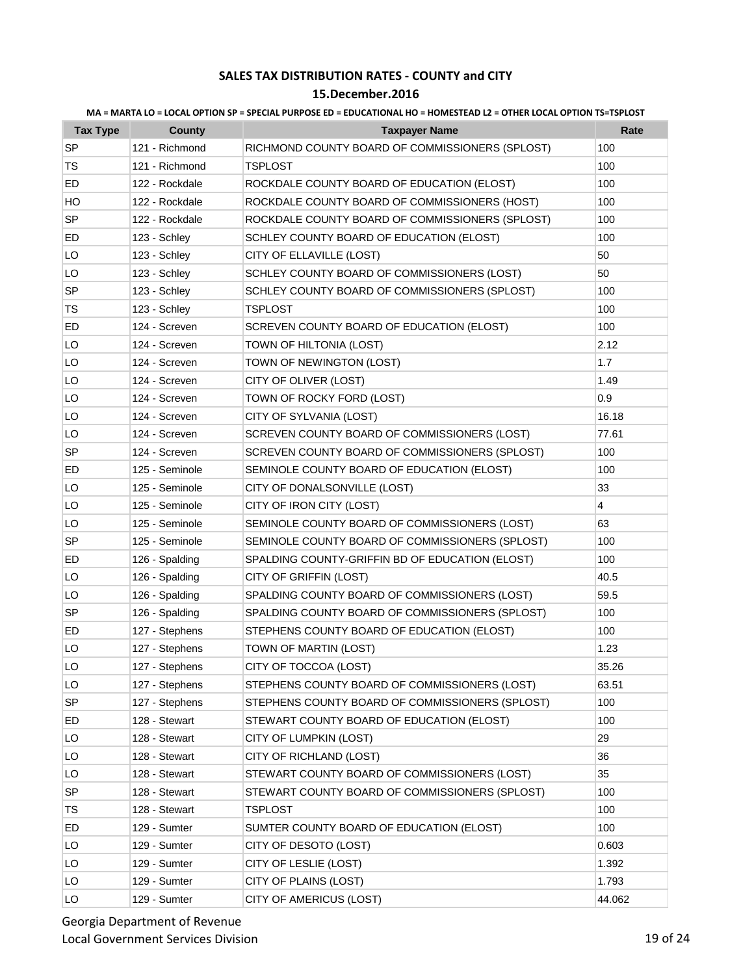### **15.December.2016**

| <b>Tax Type</b> | <b>County</b>  | <b>Taxpayer Name</b>                            | Rate           |
|-----------------|----------------|-------------------------------------------------|----------------|
| <b>SP</b>       | 121 - Richmond | RICHMOND COUNTY BOARD OF COMMISSIONERS (SPLOST) | 100            |
| TS              | 121 - Richmond | <b>TSPLOST</b>                                  | 100            |
| ED              | 122 - Rockdale | ROCKDALE COUNTY BOARD OF EDUCATION (ELOST)      | 100            |
| HO              | 122 - Rockdale | ROCKDALE COUNTY BOARD OF COMMISSIONERS (HOST)   | 100            |
| SP              | 122 - Rockdale | ROCKDALE COUNTY BOARD OF COMMISSIONERS (SPLOST) | 100            |
| ED              | 123 - Schley   | SCHLEY COUNTY BOARD OF EDUCATION (ELOST)        | 100            |
| LO              | 123 - Schley   | CITY OF ELLAVILLE (LOST)                        | 50             |
| LO              | 123 - Schley   | SCHLEY COUNTY BOARD OF COMMISSIONERS (LOST)     | 50             |
| SP              | 123 - Schley   | SCHLEY COUNTY BOARD OF COMMISSIONERS (SPLOST)   | 100            |
| TS              | 123 - Schley   | <b>TSPLOST</b>                                  | 100            |
| ED              | 124 - Screven  | SCREVEN COUNTY BOARD OF EDUCATION (ELOST)       | 100            |
| LO              | 124 - Screven  | TOWN OF HILTONIA (LOST)                         | 2.12           |
| LO              | 124 - Screven  | TOWN OF NEWINGTON (LOST)                        | 1.7            |
| LO              | 124 - Screven  | CITY OF OLIVER (LOST)                           | 1.49           |
| LO              | 124 - Screven  | TOWN OF ROCKY FORD (LOST)                       | 0.9            |
| LO              | 124 - Screven  | CITY OF SYLVANIA (LOST)                         | 16.18          |
| LO              | 124 - Screven  | SCREVEN COUNTY BOARD OF COMMISSIONERS (LOST)    | 77.61          |
| <b>SP</b>       | 124 - Screven  | SCREVEN COUNTY BOARD OF COMMISSIONERS (SPLOST)  | 100            |
| ED              | 125 - Seminole | SEMINOLE COUNTY BOARD OF EDUCATION (ELOST)      | 100            |
| LO              | 125 - Seminole | CITY OF DONALSONVILLE (LOST)                    | 33             |
| LO              | 125 - Seminole | CITY OF IRON CITY (LOST)                        | $\overline{4}$ |
| LO              | 125 - Seminole | SEMINOLE COUNTY BOARD OF COMMISSIONERS (LOST)   | 63             |
| SP              | 125 - Seminole | SEMINOLE COUNTY BOARD OF COMMISSIONERS (SPLOST) | 100            |
| ED              | 126 - Spalding | SPALDING COUNTY-GRIFFIN BD OF EDUCATION (ELOST) | 100            |
| LO              | 126 - Spalding | CITY OF GRIFFIN (LOST)                          | 40.5           |
| LO              | 126 - Spalding | SPALDING COUNTY BOARD OF COMMISSIONERS (LOST)   | 59.5           |
| SP              | 126 - Spalding | SPALDING COUNTY BOARD OF COMMISSIONERS (SPLOST) | 100            |
| ED              | 127 - Stephens | STEPHENS COUNTY BOARD OF EDUCATION (ELOST)      | 100            |
| LO              | 127 - Stephens | TOWN OF MARTIN (LOST)                           | 1.23           |
| LO              | 127 - Stephens | CITY OF TOCCOA (LOST)                           | 35.26          |
| LO              | 127 - Stephens | STEPHENS COUNTY BOARD OF COMMISSIONERS (LOST)   | 63.51          |
| SP              | 127 - Stephens | STEPHENS COUNTY BOARD OF COMMISSIONERS (SPLOST) | 100            |
| ED              | 128 - Stewart  | STEWART COUNTY BOARD OF EDUCATION (ELOST)       | 100            |
| LO              | 128 - Stewart  | CITY OF LUMPKIN (LOST)                          | 29             |
| LO              | 128 - Stewart  | CITY OF RICHLAND (LOST)                         | 36             |
| LO              | 128 - Stewart  | STEWART COUNTY BOARD OF COMMISSIONERS (LOST)    | 35             |
| SP              | 128 - Stewart  | STEWART COUNTY BOARD OF COMMISSIONERS (SPLOST)  | 100            |
| TS              | 128 - Stewart  | <b>TSPLOST</b>                                  | 100            |
| ED              | 129 - Sumter   | SUMTER COUNTY BOARD OF EDUCATION (ELOST)        | 100            |
| LO              | 129 - Sumter   | CITY OF DESOTO (LOST)                           | 0.603          |
| LO              | 129 - Sumter   | CITY OF LESLIE (LOST)                           | 1.392          |
| LO              | 129 - Sumter   | CITY OF PLAINS (LOST)                           | 1.793          |
| LO              | 129 - Sumter   | CITY OF AMERICUS (LOST)                         | 44.062         |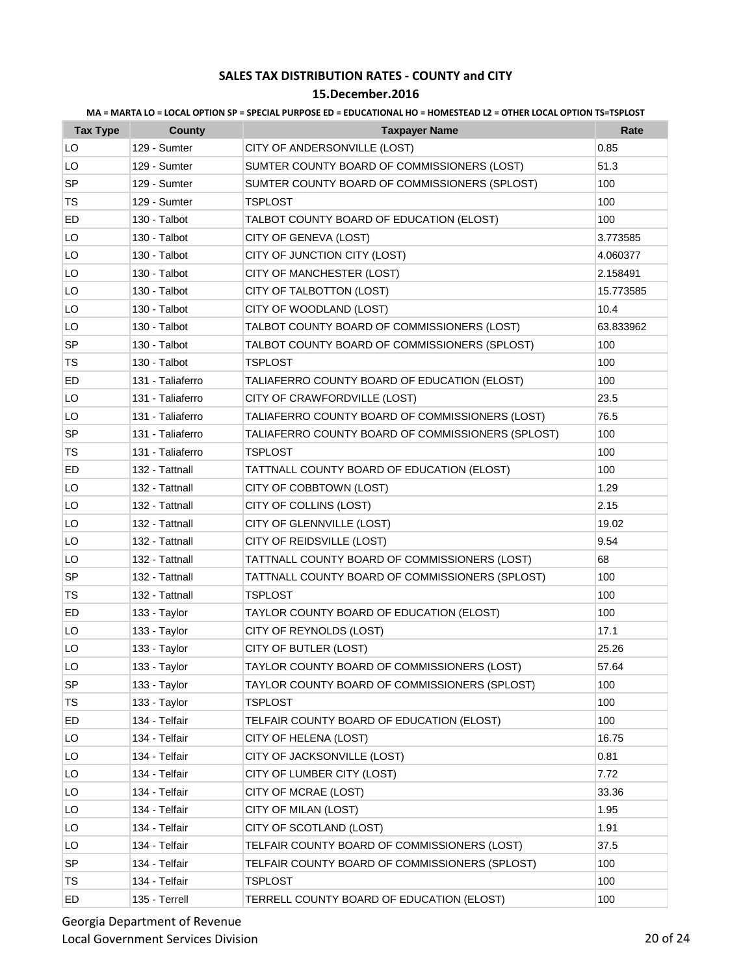### **15.December.2016**

| <b>Tax Type</b> | <b>County</b>    | <b>Taxpayer Name</b>                              | Rate      |
|-----------------|------------------|---------------------------------------------------|-----------|
| LO              | 129 - Sumter     | CITY OF ANDERSONVILLE (LOST)                      | 0.85      |
| LO              | 129 - Sumter     | SUMTER COUNTY BOARD OF COMMISSIONERS (LOST)       | 51.3      |
| <b>SP</b>       | 129 - Sumter     | SUMTER COUNTY BOARD OF COMMISSIONERS (SPLOST)     | 100       |
| TS              | 129 - Sumter     | <b>TSPLOST</b>                                    | 100       |
| ED              | 130 - Talbot     | TALBOT COUNTY BOARD OF EDUCATION (ELOST)          | 100       |
| LO              | 130 - Talbot     | CITY OF GENEVA (LOST)                             | 3.773585  |
| LO              | 130 - Talbot     | CITY OF JUNCTION CITY (LOST)                      | 4.060377  |
| LO              | 130 - Talbot     | CITY OF MANCHESTER (LOST)                         | 2.158491  |
| LO              | 130 - Talbot     | CITY OF TALBOTTON (LOST)                          | 15.773585 |
| LO              | 130 - Talbot     | CITY OF WOODLAND (LOST)                           | 10.4      |
| LO              | 130 - Talbot     | TALBOT COUNTY BOARD OF COMMISSIONERS (LOST)       | 63.833962 |
| <b>SP</b>       | 130 - Talbot     | TALBOT COUNTY BOARD OF COMMISSIONERS (SPLOST)     | 100       |
| TS              | 130 - Talbot     | TSPLOST                                           | 100       |
| ED              | 131 - Taliaferro | TALIAFERRO COUNTY BOARD OF EDUCATION (ELOST)      | 100       |
| LO              | 131 - Taliaferro | CITY OF CRAWFORDVILLE (LOST)                      | 23.5      |
| LO              | 131 - Taliaferro | TALIAFERRO COUNTY BOARD OF COMMISSIONERS (LOST)   | 76.5      |
| <b>SP</b>       | 131 - Taliaferro | TALIAFERRO COUNTY BOARD OF COMMISSIONERS (SPLOST) | 100       |
| TS              | 131 - Taliaferro | <b>TSPLOST</b>                                    | 100       |
| ED              | 132 - Tattnall   | TATTNALL COUNTY BOARD OF EDUCATION (ELOST)        | 100       |
| LO              | 132 - Tattnall   | CITY OF COBBTOWN (LOST)                           | 1.29      |
| LO              | 132 - Tattnall   | CITY OF COLLINS (LOST)                            | 2.15      |
| LO              | 132 - Tattnall   | CITY OF GLENNVILLE (LOST)                         | 19.02     |
| LO              | 132 - Tattnall   | CITY OF REIDSVILLE (LOST)                         | 9.54      |
| LO              | 132 - Tattnall   | TATTNALL COUNTY BOARD OF COMMISSIONERS (LOST)     | 68        |
| <b>SP</b>       | 132 - Tattnall   | TATTNALL COUNTY BOARD OF COMMISSIONERS (SPLOST)   | 100       |
| TS              | 132 - Tattnall   | <b>TSPLOST</b>                                    | 100       |
| ED              | 133 - Taylor     | TAYLOR COUNTY BOARD OF EDUCATION (ELOST)          | 100       |
| LO              | 133 - Taylor     | CITY OF REYNOLDS (LOST)                           | 17.1      |
| LO              | 133 - Taylor     | CITY OF BUTLER (LOST)                             | 25.26     |
| LO              | 133 - Taylor     | TAYLOR COUNTY BOARD OF COMMISSIONERS (LOST)       | 57.64     |
| <b>SP</b>       | 133 - Taylor     | TAYLOR COUNTY BOARD OF COMMISSIONERS (SPLOST)     | 100       |
| TS              | 133 - Taylor     | TSPLOST                                           | 100       |
| ED              | 134 - Telfair    | TELFAIR COUNTY BOARD OF EDUCATION (ELOST)         | 100       |
| LO              | 134 - Telfair    | CITY OF HELENA (LOST)                             | 16.75     |
| LO              | 134 - Telfair    | CITY OF JACKSONVILLE (LOST)                       | 0.81      |
| LO              | 134 - Telfair    | CITY OF LUMBER CITY (LOST)                        | 7.72      |
| LO              | 134 - Telfair    | CITY OF MCRAE (LOST)                              | 33.36     |
| LO              | 134 - Telfair    | CITY OF MILAN (LOST)                              | 1.95      |
| LO              | 134 - Telfair    | CITY OF SCOTLAND (LOST)                           | 1.91      |
| LO              | 134 - Telfair    | TELFAIR COUNTY BOARD OF COMMISSIONERS (LOST)      | 37.5      |
| SP              | 134 - Telfair    | TELFAIR COUNTY BOARD OF COMMISSIONERS (SPLOST)    | 100       |
| TS              | 134 - Telfair    | TSPLOST                                           | 100       |
| ED              | 135 - Terrell    | TERRELL COUNTY BOARD OF EDUCATION (ELOST)         | 100       |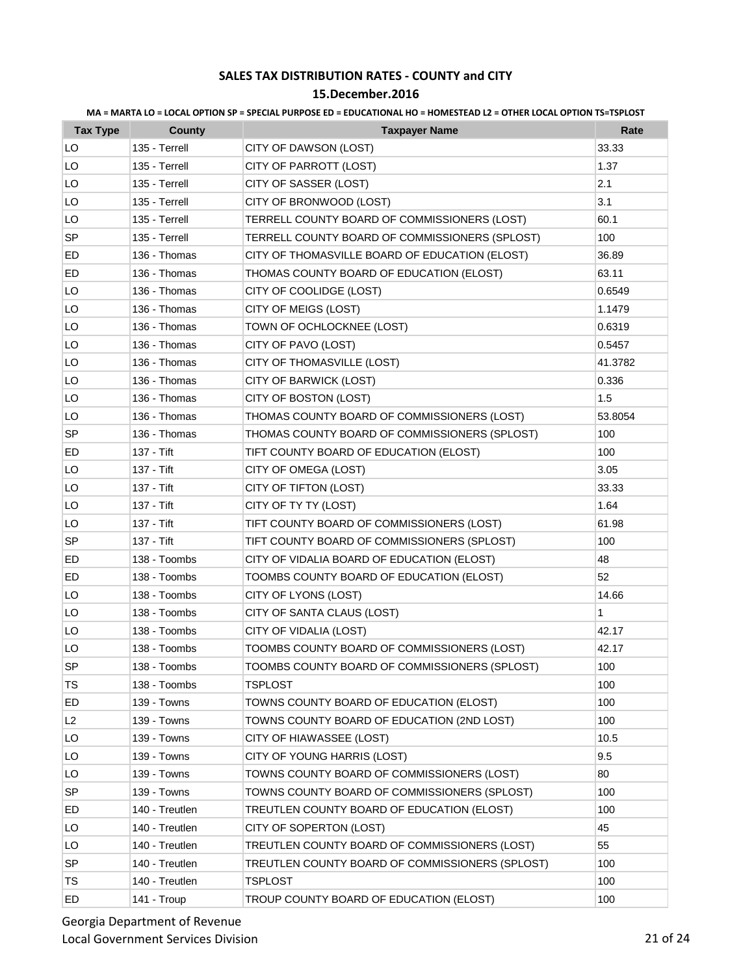### **15.December.2016**

| <b>Tax Type</b> | County         | <b>Taxpayer Name</b>                            | Rate    |
|-----------------|----------------|-------------------------------------------------|---------|
| LO              | 135 - Terrell  | CITY OF DAWSON (LOST)                           | 33.33   |
| LO              | 135 - Terrell  | CITY OF PARROTT (LOST)                          | 1.37    |
| LO              | 135 - Terrell  | CITY OF SASSER (LOST)                           | 2.1     |
| LO              | 135 - Terrell  | CITY OF BRONWOOD (LOST)                         | 3.1     |
| LO              | 135 - Terrell  | TERRELL COUNTY BOARD OF COMMISSIONERS (LOST)    | 60.1    |
| SP              | 135 - Terrell  | TERRELL COUNTY BOARD OF COMMISSIONERS (SPLOST)  | 100     |
| ED              | 136 - Thomas   | CITY OF THOMASVILLE BOARD OF EDUCATION (ELOST)  | 36.89   |
| ED              | 136 - Thomas   | THOMAS COUNTY BOARD OF EDUCATION (ELOST)        | 63.11   |
| LO              | 136 - Thomas   | CITY OF COOLIDGE (LOST)                         | 0.6549  |
| LO              | 136 - Thomas   | CITY OF MEIGS (LOST)                            | 1.1479  |
| LO              | 136 - Thomas   | TOWN OF OCHLOCKNEE (LOST)                       | 0.6319  |
| LO              | 136 - Thomas   | CITY OF PAVO (LOST)                             | 0.5457  |
| LO              | 136 - Thomas   | CITY OF THOMASVILLE (LOST)                      | 41.3782 |
| LO              | 136 - Thomas   | CITY OF BARWICK (LOST)                          | 0.336   |
| LO              | 136 - Thomas   | CITY OF BOSTON (LOST)                           | 1.5     |
| LO              | 136 - Thomas   | THOMAS COUNTY BOARD OF COMMISSIONERS (LOST)     | 53.8054 |
| SP              | 136 - Thomas   | THOMAS COUNTY BOARD OF COMMISSIONERS (SPLOST)   | 100     |
| ED              | 137 - Tift     | TIFT COUNTY BOARD OF EDUCATION (ELOST)          | 100     |
| LO              | 137 - Tift     | CITY OF OMEGA (LOST)                            | 3.05    |
| LO              | 137 - Tift     | CITY OF TIFTON (LOST)                           | 33.33   |
| LO              | 137 - Tift     | CITY OF TY TY (LOST)                            | 1.64    |
| LO              | 137 - Tift     | TIFT COUNTY BOARD OF COMMISSIONERS (LOST)       | 61.98   |
| <b>SP</b>       | 137 - Tift     | TIFT COUNTY BOARD OF COMMISSIONERS (SPLOST)     | 100     |
| ED              | 138 - Toombs   | CITY OF VIDALIA BOARD OF EDUCATION (ELOST)      | 48      |
| ED              | 138 - Toombs   | TOOMBS COUNTY BOARD OF EDUCATION (ELOST)        | 52      |
| LO              | 138 - Toombs   | CITY OF LYONS (LOST)                            | 14.66   |
| LO              | 138 - Toombs   | CITY OF SANTA CLAUS (LOST)                      | 1       |
| LO              | 138 - Toombs   | CITY OF VIDALIA (LOST)                          | 42.17   |
| LO              | 138 - Toombs   | TOOMBS COUNTY BOARD OF COMMISSIONERS (LOST)     | 42.17   |
| <b>SP</b>       | 138 - Toombs   | TOOMBS COUNTY BOARD OF COMMISSIONERS (SPLOST)   | 100     |
| TS              | 138 - Toombs   | <b>TSPLOST</b>                                  | 100     |
| ED              | 139 - Towns    | TOWNS COUNTY BOARD OF EDUCATION (ELOST)         | 100     |
| L2              | 139 - Towns    | TOWNS COUNTY BOARD OF EDUCATION (2ND LOST)      | 100     |
| LO              | 139 - Towns    | CITY OF HIAWASSEE (LOST)                        | 10.5    |
| LO              | 139 - Towns    | CITY OF YOUNG HARRIS (LOST)                     | 9.5     |
| LO              | 139 - Towns    | TOWNS COUNTY BOARD OF COMMISSIONERS (LOST)      | 80      |
| SP              | 139 - Towns    | TOWNS COUNTY BOARD OF COMMISSIONERS (SPLOST)    | 100     |
| ED              | 140 - Treutlen | TREUTLEN COUNTY BOARD OF EDUCATION (ELOST)      | 100     |
| LO              | 140 - Treutlen | CITY OF SOPERTON (LOST)                         | 45      |
| LO              | 140 - Treutlen | TREUTLEN COUNTY BOARD OF COMMISSIONERS (LOST)   | 55      |
| <b>SP</b>       | 140 - Treutlen | TREUTLEN COUNTY BOARD OF COMMISSIONERS (SPLOST) | 100     |
| <b>TS</b>       | 140 - Treutlen | <b>TSPLOST</b>                                  | 100     |
| ED              | 141 - Troup    | TROUP COUNTY BOARD OF EDUCATION (ELOST)         | 100     |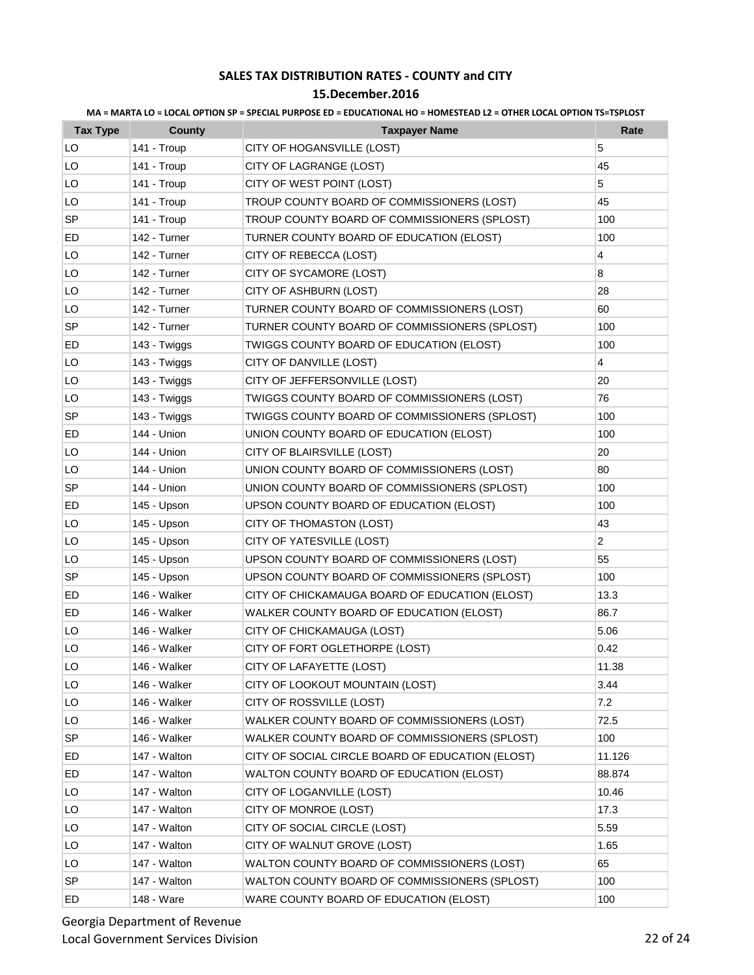| MA = MARTA LO = LOCAL OPTION SP = SPECIAL PURPOSE ED = EDUCATIONAL HO = HOMESTEAD L2 = OTHER LOCAL OPTION TS=TSPLOST |  |  |  |
|----------------------------------------------------------------------------------------------------------------------|--|--|--|
|                                                                                                                      |  |  |  |

| <b>Tax Type</b> | County       | <b>Taxpayer Name</b>                             | Rate           |
|-----------------|--------------|--------------------------------------------------|----------------|
| LO              | 141 - Troup  | CITY OF HOGANSVILLE (LOST)                       | 5              |
| LO              | 141 - Troup  | CITY OF LAGRANGE (LOST)                          | 45             |
| LO              | 141 - Troup  | CITY OF WEST POINT (LOST)                        | 5              |
| LO              | 141 - Troup  | TROUP COUNTY BOARD OF COMMISSIONERS (LOST)       | 45             |
| <b>SP</b>       | 141 - Troup  | TROUP COUNTY BOARD OF COMMISSIONERS (SPLOST)     | 100            |
| ED              | 142 - Turner | TURNER COUNTY BOARD OF EDUCATION (ELOST)         | 100            |
| LO              | 142 - Turner | CITY OF REBECCA (LOST)                           | 4              |
| LO              | 142 - Turner | CITY OF SYCAMORE (LOST)                          | 8              |
| LO              | 142 - Turner | CITY OF ASHBURN (LOST)                           | 28             |
| LO              | 142 - Turner | TURNER COUNTY BOARD OF COMMISSIONERS (LOST)      | 60             |
| <b>SP</b>       | 142 - Turner | TURNER COUNTY BOARD OF COMMISSIONERS (SPLOST)    | 100            |
| ED              | 143 - Twiggs | TWIGGS COUNTY BOARD OF EDUCATION (ELOST)         | 100            |
| LO              | 143 - Twiggs | CITY OF DANVILLE (LOST)                          | 4              |
| LO              | 143 - Twiggs | CITY OF JEFFERSONVILLE (LOST)                    | 20             |
| LO              | 143 - Twiggs | TWIGGS COUNTY BOARD OF COMMISSIONERS (LOST)      | 76             |
| <b>SP</b>       | 143 - Twiggs | TWIGGS COUNTY BOARD OF COMMISSIONERS (SPLOST)    | 100            |
| ED              | 144 - Union  | UNION COUNTY BOARD OF EDUCATION (ELOST)          | 100            |
| LO              | 144 - Union  | CITY OF BLAIRSVILLE (LOST)                       | 20             |
| LO              | 144 - Union  | UNION COUNTY BOARD OF COMMISSIONERS (LOST)       | 80             |
| SP              | 144 - Union  | UNION COUNTY BOARD OF COMMISSIONERS (SPLOST)     | 100            |
| ED              | 145 - Upson  | UPSON COUNTY BOARD OF EDUCATION (ELOST)          | 100            |
| LO              | 145 - Upson  | CITY OF THOMASTON (LOST)                         | 43             |
| LO              | 145 - Upson  | CITY OF YATESVILLE (LOST)                        | $\overline{c}$ |
| LO              | 145 - Upson  | UPSON COUNTY BOARD OF COMMISSIONERS (LOST)       | 55             |
| SP              | 145 - Upson  | UPSON COUNTY BOARD OF COMMISSIONERS (SPLOST)     | 100            |
| ED              | 146 - Walker | CITY OF CHICKAMAUGA BOARD OF EDUCATION (ELOST)   | 13.3           |
| ED              | 146 - Walker | WALKER COUNTY BOARD OF EDUCATION (ELOST)         | 86.7           |
| LO              | 146 - Walker | CITY OF CHICKAMAUGA (LOST)                       | 5.06           |
| LO              | 146 - Walker | CITY OF FORT OGLETHORPE (LOST)                   | 0.42           |
| LO              | 146 - Walker | CITY OF LAFAYETTE (LOST)                         | 11.38          |
| LO              | 146 - Walker | CITY OF LOOKOUT MOUNTAIN (LOST)                  | 3.44           |
| LO              | 146 - Walker | CITY OF ROSSVILLE (LOST)                         | 7.2            |
| LO              | 146 - Walker | WALKER COUNTY BOARD OF COMMISSIONERS (LOST)      | 72.5           |
| <b>SP</b>       | 146 - Walker | WALKER COUNTY BOARD OF COMMISSIONERS (SPLOST)    | 100            |
| ED              | 147 - Walton | CITY OF SOCIAL CIRCLE BOARD OF EDUCATION (ELOST) | 11.126         |
| ED              | 147 - Walton | WALTON COUNTY BOARD OF EDUCATION (ELOST)         | 88.874         |
| LO              | 147 - Walton | CITY OF LOGANVILLE (LOST)                        | 10.46          |
| LO              | 147 - Walton | CITY OF MONROE (LOST)                            | 17.3           |
| LO              | 147 - Walton | CITY OF SOCIAL CIRCLE (LOST)                     | 5.59           |
| LO              | 147 - Walton | CITY OF WALNUT GROVE (LOST)                      | 1.65           |
| LO              | 147 - Walton | WALTON COUNTY BOARD OF COMMISSIONERS (LOST)      | 65             |
| <b>SP</b>       | 147 - Walton | WALTON COUNTY BOARD OF COMMISSIONERS (SPLOST)    | 100            |
| ED              | 148 - Ware   | WARE COUNTY BOARD OF EDUCATION (ELOST)           | 100            |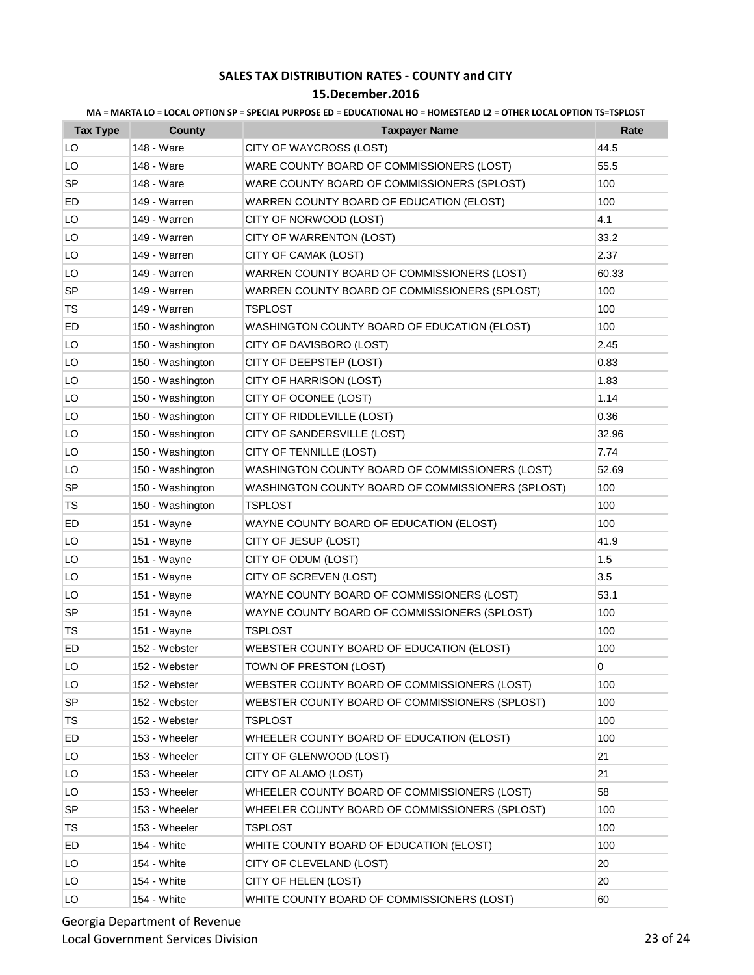### **15.December.2016**

| <b>Tax Type</b> | <b>County</b>    | <b>Taxpayer Name</b>                              | Rate  |
|-----------------|------------------|---------------------------------------------------|-------|
| LO              | 148 - Ware       | CITY OF WAYCROSS (LOST)                           | 44.5  |
| LO              | 148 - Ware       | WARE COUNTY BOARD OF COMMISSIONERS (LOST)         | 55.5  |
| <b>SP</b>       | 148 - Ware       | WARE COUNTY BOARD OF COMMISSIONERS (SPLOST)       | 100   |
| ED              | 149 - Warren     | WARREN COUNTY BOARD OF EDUCATION (ELOST)          | 100   |
| LO              | 149 - Warren     | CITY OF NORWOOD (LOST)                            | 4.1   |
| LO              | 149 - Warren     | CITY OF WARRENTON (LOST)                          | 33.2  |
| LO              | 149 - Warren     | CITY OF CAMAK (LOST)                              | 2.37  |
| LO              | 149 - Warren     | WARREN COUNTY BOARD OF COMMISSIONERS (LOST)       | 60.33 |
| SP              | 149 - Warren     | WARREN COUNTY BOARD OF COMMISSIONERS (SPLOST)     | 100   |
| TS              | 149 - Warren     | <b>TSPLOST</b>                                    | 100   |
| ED              | 150 - Washington | WASHINGTON COUNTY BOARD OF EDUCATION (ELOST)      | 100   |
| LO              | 150 - Washington | CITY OF DAVISBORO (LOST)                          | 2.45  |
| LO              | 150 - Washington | CITY OF DEEPSTEP (LOST)                           | 0.83  |
| LO              | 150 - Washington | CITY OF HARRISON (LOST)                           | 1.83  |
| LO              | 150 - Washington | CITY OF OCONEE (LOST)                             | 1.14  |
| LO              | 150 - Washington | CITY OF RIDDLEVILLE (LOST)                        | 0.36  |
| LO              | 150 - Washington | CITY OF SANDERSVILLE (LOST)                       | 32.96 |
| LO              | 150 - Washington | CITY OF TENNILLE (LOST)                           | 7.74  |
| LO              | 150 - Washington | WASHINGTON COUNTY BOARD OF COMMISSIONERS (LOST)   | 52.69 |
| <b>SP</b>       | 150 - Washington | WASHINGTON COUNTY BOARD OF COMMISSIONERS (SPLOST) | 100   |
| TS              | 150 - Washington | <b>TSPLOST</b>                                    | 100   |
| ED              | 151 - Wayne      | WAYNE COUNTY BOARD OF EDUCATION (ELOST)           | 100   |
| LO              | 151 - Wayne      | CITY OF JESUP (LOST)                              | 41.9  |
| LO              | 151 - Wayne      | CITY OF ODUM (LOST)                               | 1.5   |
| LO              | 151 - Wayne      | CITY OF SCREVEN (LOST)                            | 3.5   |
| LO              | 151 - Wayne      | WAYNE COUNTY BOARD OF COMMISSIONERS (LOST)        | 53.1  |
| SP              | 151 - Wayne      | WAYNE COUNTY BOARD OF COMMISSIONERS (SPLOST)      | 100   |
| TS              | 151 - Wayne      | <b>TSPLOST</b>                                    | 100   |
| ED              | 152 - Webster    | WEBSTER COUNTY BOARD OF EDUCATION (ELOST)         | 100   |
| LO              | 152 - Webster    | TOWN OF PRESTON (LOST)                            | 0     |
| LO              | 152 - Webster    | WEBSTER COUNTY BOARD OF COMMISSIONERS (LOST)      | 100   |
| <b>SP</b>       | 152 - Webster    | WEBSTER COUNTY BOARD OF COMMISSIONERS (SPLOST)    | 100   |
| TS              | 152 - Webster    | <b>TSPLOST</b>                                    | 100   |
| ED              | 153 - Wheeler    | WHEELER COUNTY BOARD OF EDUCATION (ELOST)         | 100   |
| LO              | 153 - Wheeler    | CITY OF GLENWOOD (LOST)                           | 21    |
| LO              | 153 - Wheeler    | CITY OF ALAMO (LOST)                              | 21    |
| LO              | 153 - Wheeler    | WHEELER COUNTY BOARD OF COMMISSIONERS (LOST)      | 58    |
| SP              | 153 - Wheeler    | WHEELER COUNTY BOARD OF COMMISSIONERS (SPLOST)    | 100   |
| <b>TS</b>       | 153 - Wheeler    | <b>TSPLOST</b>                                    | 100   |
| ED              | 154 - White      | WHITE COUNTY BOARD OF EDUCATION (ELOST)           | 100   |
| LO              | 154 - White      | CITY OF CLEVELAND (LOST)                          | 20    |
| LO              | 154 - White      | CITY OF HELEN (LOST)                              | 20    |
| LO              | 154 - White      | WHITE COUNTY BOARD OF COMMISSIONERS (LOST)        | 60    |